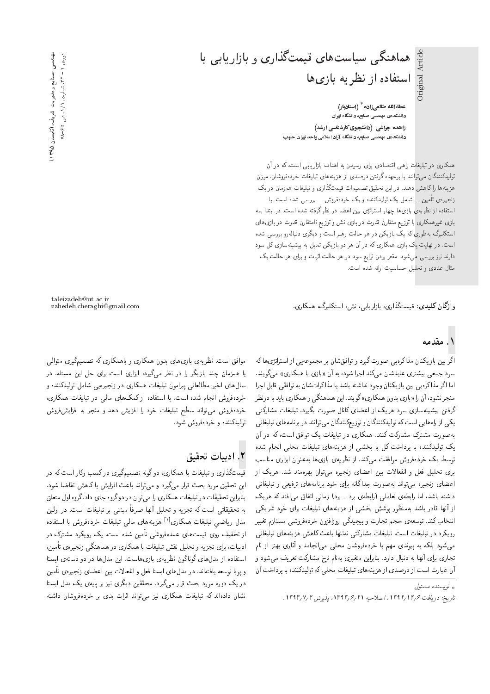Original Article Original Article

ء<br>عطاءالله طالعیزاده <sup>\*</sup> (استادیار) دانش*کد*هی مهندسی صنایع، دانشگاه تهران زاهده چراغی (دانشجوی کارشناسی ارشد) دانشکدهی مهندسی صنایع، دانشگاه آزاد اسلامی واحد تهران جنوب

استفاده از نظریه بازیها

هماهنگی سیاستهای قیمتگذاری و بازاریابی با

همکاری در تبلیغات راهی اقتصادی برای رسیدن به اهداف بازاریابی است، که در آن تولیدکنندگان می توانند با برعهده گرفتن درصدی از هزینههای تبلیغات خردهفروشان، میزان هزینهها راکاهش دهند. در این تحقیق تصمیمات قیمتگذاری و تبلیغات همزمان در یک زنجیرہی تأمین ـــ شامل یک تولیدکنندہ و یک خردہفروش ــــ بررسی شدہ است. با استفاده از نظریهی بازیها چهار استراتژی بین اعضا در نظر گرفته شده است. در ابتدا سه بازی غیرهمکاری با توزیع متقارن قدرت در بازی نش و توزیع نامتقارن قدرت در بازی های استکلبرگ بهطوری که یک بازیکن در هر حالت رهبر است و دیگری دنبالهرو بررسی شده است. در نهایت یک بازی همکاری که در آن هر دو بازیکن تمایل به بیشینهسازی کل سود دارند نبیز بررسی می شود. مقعر بودن توابع سود در هر حالت اثبات و برای هر حالت یک مثال عددی و تحلیل حساسیت ارائه شده است.

وا**ژگان کلیدی**: قیمتگذاری، بازاریابی، نش، استکلبرگ، همکاری.

## ۱. مقدمه

اگر بین بازیکنان مذاکرهیی صورت گیرد و توافقشان بر مجموعهیی از استراتژی ها که سود جمعی بیشتری عایدشان میکند اجرا شود، به آن «بازی با همکاری» میگویند.<br>اما اگر مذاکرهیی بین بازیکنان وجود نداشته باشد یا مذاکراتشان به توافقی قابل اجرا اما آ در مدا درهيي بين بازيد ان وجود نداسته باسد يا مدا درابسان به نواقفي قابل اجرا<br>المسيح المسيح المسيح المسيح المسيح المسيح المسيح المسيح المسيح المسيح المسيح المسيح میچر سود، آن را «بازی بدون همداری» نویند. این هماهند<sub>ی</sub> و همداری باید با درنظر<br>گرفت میشود و از این کار از این از کارال گرفتن بیشینهسازی سود هریک از اعضای کانال صورت بگیرد. تبلیغات مشارکتی يکى از راه هايى است که توليدکنندگان و توزيعکنندگان مى توانند در برنامه هاى تبليغاتى به صورت مشترک مشارکت کنند. همکاری در تبلیغات یک توافق است، که در آن یک تولیدکننده با پرداخت کل یا بخشی از هزینههای تبلیغات محلی انجام شده توسط یک خرده فروش موافقت میکند. از نظریهی بازی ها به عنوان ابزاری مناسب برای تحلیل فعل و انفعالات بین اعضای زنجیره می توان بهرهمند شد. هریک از |عضای زنجیره میتواند بهصورت جداگانه برای خود برنامههای ترفیعی و تبلیغاتی داشته باشد، اما رابطهى تعاملي (رابطهى برد ـ برد) زمانى اتفاق مى افتد كه هريك از آنها قادر باشد بهمنظور پوشش بخشی از هزینههای تبلیغات برای خود شریکی انتخاب کند. توسعهى حجم تجارت و پيچيدگى روزافزون خردهفروشى مستلزم تغيير رویکرد در تبلیغات است. تبلیغات مشارکتبی نهتنها باعث کاهش هزینههای تبلیغاتی میشود بلکه به پیوندی مهم با خردهفروشان محلبی می|نجامد و آثاری بهتر از نام تجاری برای آنها به دنبال دارد. بنابراین متغیری بهنام نرخ مشارکت تعریف میشود و آن عبارت است از درصدي از هزينههاي تبليغات محلي كه توليدكننده با پرداخت آن

taleizadeh@ut.ac.ir

موافق است. نظریهی بازی های بدون همکاری و باهمکاری که تصمیمگیری متوالی یا همزمان چند بازیگر را در نظر میگیرد، ابزاری است برای حل این مسئله. در سال0های اخیر مطالعاتی پیرامون تبلیغات همکاری در زنجیرهیی شامل تولیدکننده و خردهفروش انجام شده است. با استفاده از کمک های مال<sub>ی</sub> در تبلیغات همکاری، خردهفروش مى تواند سطح تبليغات خود را افزايش دهد و منجر به افزايش فروش تولیدکننده و خردهفروش شود.

## X. ادبيات تحقيق

قیمب:داری و سلیغات با همداری، دو تونه تصمیم نیری در نسب ونار است به در<br>است -این تحقیق مورد بحث قرار می نیرد و می تواند باعث افزایش یا داهش تفاصیا سود.<br>ما این مقتلف میلیانی می کند ا jraDt pw= xwQo "O=O |=H xwQo wO QO u=wD|t =Q |Q=mty C=e}r@D QO C=k}kLDu}=Q@=v@ به تحقیقاتی است که تجزیه و تحلیل آنها صرفا مبتنی بر تبلیغات است. در اولین<br>منابع باید معاونات میکند افکار میدان باید است و باید میکند و باید بود مدل رياضي تبليغات همكارى<sup>[۱]</sup> هزينههاى مال<sub>ى</sub>ى تبليغات خردهفروش با استفاده<br>استنفذ باست از تخفیف روی قیمتهای عمدهفروشی تأمین شده است. یک رویکرد مشترک در ادبیات، برای تجزیه و تحلیل نقش تبلیغات با همکاری در هماهنگی زنجیرهی تأمین، استفاده از مدل های گوناگون نظریهی بازی هاست. این مدل ها در دو دستهی ایستا و پویا توسعه یافتهاند. در مدل های ایستا فعل و انفعالات بین اعضای زنجیرهی تأمین در یک دوره مورد بحث قرار میگیرد. محققین دیگری نیز بر پایهی یک مدل ایستا نشان دادهاند که تبلیغات همکاری نیز میتواند اثرات بدی بر خردهفروشان داشته

 $\int e^{i\omega}$ و بسنده مسئول

تاريخ: دريافت ١٣٩٢/١٣٩٢، اصلاحيه ١٣٩٣/٢, يديرش ١٣٩٣/٧.٢.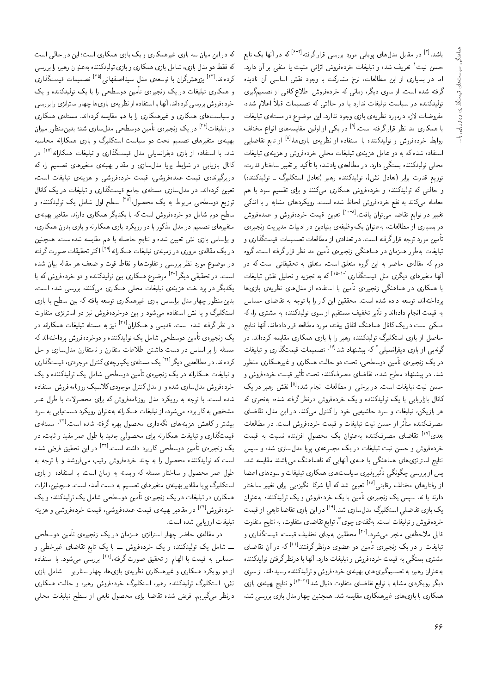باشد.<sup>[۲]</sup> در مقابل مدل های پویایی مورد بررسی قرارگرفته<sup>(۶-۳]</sup> که در آنها یک تابع<br>ترجمه استفاده و با در مورد استفاده و با استفاده و افراد میشود. حسن نیت' تعریف شده و تبلیغات خردهفروش اثراتی مثبت یا منفی بر آن دارد.<br>اما مسلمان اسلمان الملل میسکند که کلیس استفاد اسلمانی آن بار اما در بسیاری از این مطالعات، نرخ مشارکت با وجود نقش اساسی آن نادیده گرفته شده است. از سوی دیگر، زمانی که خردهفروش اطلاع کافی از تصمیمگیری تولیدکننده در سیاست تبلیغات ندارد یا در حالتی که تصمیمات قبلاً اعلام شده، مفروضات لازم درمورد نظریهی بازی وجود ندارد. این موضوع در مسئلهی تبلیغات به همه ری مد نظر قرار درقته است. ۱۰ در یعنی از اولین مقایسه های انواع محتلف<br>۲۰۱۰ - میدان و میلیون، ۱۰ میلیون، استان استان و استان استان و استان با همکاری مد نظر قرارگرفته است.<sup>[۷]</sup> در یکی از اولین مقایسههای انواع مختلف <sup>[۸]</sup> از تابع تقاضایی<br>ما نا روابط حرده قروس و نولیدنینده با استفاده از نظریهی بازیها،<br>استاد مدیر کردن C=e}r@D |xv} Ry w VwQixOQN |rLt C=e}r@D |xv} Ry pt=a wO x@ xm xOW xO=iDU= 'CQOk Q=DN=U Q}}eD Q@ O}m -=D =@ xOWO=} |xar=]t QO "OQ=O |oDU@ xOvvmO}rwD |rLt توزيع قدرت برابر (تعادل نش)، توليدكننده رهبر (تعادل استكلبرگ ــ توليدكننده) و حالتبی که تولیدکننده و خردهفروش همکاری میکنند و برای تقسیم سود با هم<br>معامله میکنند به نفع خردهفروش لحاظ شده است. رویکردهای مشابه را با اندکبی معامله می دسد به نفع حردهوروس لحاظ سده است. رویدردهای مسابه را با اندلی<br>تغییر در توابع تقاضا میرتوان بافت.<sup>[۱۰-۱</sup>] تعیین قیمت خردهفوش و عمدهفوش تغییر در نوابع نفاصا می نوان یافت.<br>استفاده استکشار است که است که دارد و سال استفاده است. در بسیاری از مصالعات، به عنوان یک وطیقهی بسادین در ادبیات مدیریت زنجیرهی<br>با تأمین مورد توجه قرار گرفته است. در تعدادی از مطالعات تصمیمات قیمتگذاری و تبلیغات بهطور همزمان در هماهنگی زنجیرهی تأمین مد نظر قرار گرفته است. گروه<br>دوم که مقالهی حاضر به این گروه متعلق است، متعلق به تحقیقاتی است که در دوم نه مقالهی حاصر به این دروه متعلق است، متعلق به تحقیقاتی است نه در<br>آب سیسی از است که است که است ادادا کرد. ده به تجزیه و تحلیل تقس تبلیغات<br>مناطقه با استفاده مناطقه أنها متغیرهای دیگری مثل قیمتگذاری<sup>[۱۵-۱۰</sup>]<br>استکا با همکاری در هماهنگی زنجیرهی تامین با استفاده از مدلهای نظریهی بازیها<br>ساختمان و سیاست T=UL |=[=kD x@ xHwD =@ =Q Q=m u}= u}kkLt "CU= xOW xO=O xaUwD 'Ov=xDN=OQB ممکن است در یک کانال هماهنگ اتفاق بیفتد، مورد مطالعه قرار دادهاند. آنها نتایج -=D w Ov=xO=O s=Hv= Ct}k x@ حاصل از بازی استکلبرگ تولیدکننده رهبر را با بازی همکاری مقایسه کردهاند. در حاصل از بازی استمدیرت تولیددسده رهبر را با بازی همداری مقایسه دردهاند. در<br>گونهیی از بازی دیفرانسیل<sub>ی</sub> که پیشنهاد شد<sup>[۱۶]</sup> تصمیمات قیمتگذاری و تبلیغات<br>مرضی میدان ته پیستهاد سد : مصمیمات فیمب داری و تبلیغات<br>ا در یک زنجیرہی تامین دوسطحی، تحت دو حالت همداری و غیرهمداری منظور<br>میں مقدار اللہ اور ایک ایک ایک منظور ا ىير فىيمت حردەفروس و<br>.ە<sup>[۵]</sup> نقش , ھىر در ىك شد. در پیشنهاد مطرح شده، تقاضای مصرفکننده تحت تأثیر قیمت خردهفروش و حسن تیب ببلیغات است. در برخی از مصالحات انجام شده مستقبل رهبر در یک<br>کابلاما اما می است که با کنید می کنیم و مستقبل گفت می باشد و بر هر بازیکن، تبلیغات و سود حاشیه یی خود را کنترل می¢ند. در این مدل، تقاضای هر بازیکن، ببلیغات و سود حاسیه یی حود را تسرل می(شد. در این مدل، تفاصای<br>محمد میسین آفتار است. C=ar=]t QO "CU= VwQixOQN Ct}k w C=e}r@D C}v uUL R= QF -=Dt xOvvmhQYt بعدی<sup>[۱۷]</sup> تقاضای مصرفکننده بهعنوان یک محصولِ افزاینده نسبت به قیمت<br>منصوب میسکو حرده فروس و حسن بيت ببيعات در يف مجموعه ي پويه مدل سازي سد، و سپس<br>تعليما ساحت السماء کام اسکان اسکان اسکان اسکان اسماع "OW xU}=kt OvW=@|t nvy=ty=v xm |}=yv; |xty =@ |ovy=ty |=y|SD=QDU= G}=Dv بیر پدیری سیاست های همداری ببلیغات و سودهای اعصا<br>اهلال پس از بررسی چگونگی تأثیرپذیری سیاست های همکاری تبلیغات و سودهای اعضا نعیین سد که آیا سرتا انگیزهیی برای نعییر ساختار<br>با از رفتارهای مختلف رقابتی<sup>[۱۸</sup>]<br>پارسیان دارند یا نه. سپس یک زنجیرهی تامین با یک خردهوروش و یک تولیدنشده بهعنوان<br>محمد استفاده اسکا گلستان استفاده استفاده استفاده استفاده یک بازی تفاضلی استکلبرگ مدل سازی شد.<sup>[۱۹]</sup> در این بازی تقاضا تابعی از قیمت<br>منصف میسکوار ایران میده<sup>گ</sup>نید با آمریکار میتا برای استفاده بودند بود خرده فروش و تبليغات است. بهگفتهى چوى "، توابع تقاضاى متفاوت ليج متفاوت حرده قروس و بېليغات است. به تقنه ي چوي<br>- اما مورد مان قابل ملاحظه یی منجر میشود.<sup>[۱۰]</sup> معققین بهجای تخفیف قیمت، قیمتگذاری و<br>ما نامسلسلم کرمید میرسا له در آن تفاصای<br>گان میلی من تبلیغات را در یک زنجیرهی تأمین دو عضوی درنظرگرفتندا<sup>۲۱]</sup><br>مسلمان گ مستری بستمی به فیمت حرده فروس و تبنیعات دارد. آنها با درنصر درفتن تولیدنسده<br>مصالحه به عنوان رهبر، به تصمیمگیری های بهینه ی خرده فروش و تولیدکننده رسیدهاند. از سوی دیگر رویکردی مشابه با توابع تقاضای متفاوت دنبال شد<sup>[۲۴-۲۲</sup>] و نتایج بهینهی بازی<br>کار مطالبات همکاری با بازی های غیرهمکاری مقایسه شد. همچنین چهار مدل بازی بررسی شد،

که در این میان سه بازی غیرهمکاری و یک بازی همکاری است؛ این در حالی است<br>که فقط دو مدل بازی، شامل بازی همکاری و بازی تولیدکننده بهعنوان رهبر، را بررسی له فقط دو مدل بازی، سامل بازی همداری و بازی نولیدلسده به عنوان رهبر، را بررسی<br>صحیحات | ۱۳۲ کردهاند.<sup>[۳۲]</sup> پژوهشگران با توسعهءی مدل سیداصفهانی<sup>[۲۵]</sup> تصمیمات قیمتگذاری<br>کار میلیار ایران و همکاری تبلیغات در یک زنجیرهی تأمین دوسطحی را با یک تولیدکننده و یک خردهفروش بررسي كردهاند. آنها با استفاده از نظريهي بازي ها چهار استراتژي را بررسي و سیاست های همکاری و غیرهمکاری را با هم مقایسه کردهاند. مسئلهی همکاری در تبلیغات<sup>[۲۶]</sup> در یک زنجیرهی تأمین دوسطحی مدل سازی شد؛ بدین *من*ظور میزان<br>ا بهیهی معیرهای تصمیم بحث دو سیاست استکلبرگ و بازی همکارانه محاسبه<br>میرو ایل مایل ایل میلیمان این ایل میلی ترکی شد. با استفاده از بازی دیفرانسیلی مدل قیمتگذاری و تبلیغات همکارانه<sup>[۲۷]</sup> در<br>کاناله با با مساوی با با با بیار با کانال بازیابی در شرایط پویا مدلسازی و مقدار بهینهی متغیرهای تصمیم را، که<br>دربرگیرنده، قیمت عمدهفروشی، قیمت خردهفروشی و هزینهی تبلیغات است، 'CU= C=e}r@D |xv} Ry w |WwQixOQN Ct}k '|WwQixOta Ct}k |xOvQ}oQ@QO p=v=m l} QO C=e}r@D w |Q=PoCt}k `t=H |xrUt |R=UpOt QO "Ov=xOQm u}}aD توزیع دوسطحی مربوط به یک محصول <sup>[۲۸]</sup> سطح اول شامل یک تولیدکننده و<br>ما سطح دوم سامل دو حردهوروس است نه با یکدیگر همکاری دارند. مقادیر بهینه ی<br>مسلم منغیرهای تصمیم در مدل مددور با دو رویدرد بازی همداران و بازی بدون همداری،<br>اساسی است و میست و میست به ایران است. و براساس بازی سن هیین سده و سایج حاصله با هم مقایسه سدهاست. همچنین<br>حمیدالله عن استفاده است. سیار از این افزایل می سیاسی سیاسی ۱<sup>۲۹]</sup> اکثر تحقیقات صورت گرفته<br>مقدمات مقدمات المقامی در موضوع مورد نظر بررسی و تفاوتها و نقاط قوت و ضعف هر مقاله بیان شده در موصوع مورد نظر بررسی و نقاوتها و نقاط قوت و صعف هر مقاله بیان سده<br>است. در تحقیقی دیگر <sup>[۳۰]</sup> موضوع همکاری بین تولیدکننده و دو خردهفروش که با است. در تحقیقی دیدر مستقرح همداری بین تولیدنمنده و دو حردهدروس نه با<br>ص گ يكنديكر در پرداخت هزينهى بېيغات محلي همكارى مى شند، بررسى سده است.<br>مانستان بدین منطور چهار مدل براساس بازی عیرهمداری نوسعه یافته نه بین سطح یا بازی<br>است کار استخدیرت و یا سن استفاده مهسود و بین دوخردهفروس نیز دو استرانژی متفاوت<br>در نظر گرفته شده است. قدیم رو همکاران<sup>[۲۱]</sup> نیز به مسئله تبلیغات همکارانه در در نصر درقیه سده است. قدیمی و همداران مسیر به مستنه بنیغات همدارانه در<br>حمد مسیر میشد و با استفاده استفاده میشود. يک زنجيرهى تامين دوسطحى شامل يک توليدنننده و دوخردهوروش پرداختهاند نه<br>اين استان استان اين ايران ايران ايران ايران ايران ايران ايران ايران ايران ايران ايران ايران ايران ايران ايران مسته را بر اساس در دست داستن اطلاعات متفارن و نامتفارن مدلسازی و حل<br>کردهاند. در مطالعه بر دیگر <sup>[۱۳۱]</sup> یک مسئلهی یکبارجهی کنترل موجودی، قیمتگذاری درده مد. در مطالعه یی دیدر مسلم مستله ی یکپارچه ی نسرل موجودی، فیمپ داری<br>- عامل استکملیس محمد مسلم و تبلیغات همکارانه در یک زنجیرهی تامین دوسطحی شامل یک تولیدنشنده و یک<br>میسین میسیار است که سیاسیا کتبا خردهفروش مدلسازی شده و از مدل کنترل موجودی کلاسیک روزنامهفروش استفاده<br>شده است. با توجه به رویکرد مدل روزنامهفروش که برای محصولات با طول عمر مشخص به کار برده می شود، از تبلیغات همکارانه به عنوان رویکرد دست یابی به سود OwU x@ |@=}CUO OQm}wQ u=wvax@ xv=Q=mty C=e}r@D R= 'OwW|t xOQ@ Q=m x@ XNWt بیشتر و کاهش هزینههای نگهداری محصول بهره گرفته شده است.<sup>[۳۲]</sup> مسئلهی<br>- ستگفتار میرا نام کارار با قیمتگذاری و تبلیغات همکارانه برای محصولی جدید با طول عمر مفید و ثابت، در یک زنجیرہی تأمین دوسطحی کاربرد داشته است.<sup>[۳۲]</sup> در این تحقیق فرض شده<br>است کو تارکینیوں میں ایران میں زیادہ میں ت است که تولیدکننده محصول را به چند خردهفروش رقیب میفروشد و با توجه به<br>طول عمر محصول و ساختار مسئله که وابسته به زمان است، با استفاده از بازی |استکلیرگ بویا مقادیر بهینه ی متغیرهای تصمیم به دست آمده است. همچنین، اثرات استگلبوگ پویا مقادیر بهینه ی متعیرهای تصمیم به دست آمده است. همچنین، انزاب<br>استگلبوگ از این مسکن از مستقلب است. همداری در تبلیغات در یک زنجیروی تامین دوسطحی شامل یک تولیدنننده و یک<br>مسمداری در القا خردهفروش<sup>[۳۲]</sup> در مقادیر بهینهی قیمت عمدهفروشی، قیمت خردهفروشی و هزینه<br>مایتان با میان مید است سلیغات ارزیابی سده است.<br>مصطلحات

در مقالهی حاضر چهار استراتژی همزمان در یک زنجیرهی تامین دوسطحی<br>ایالی کے مطالبت مصدر کے سینمنٹ کے طور مقاطرات میں ا ــ سامل یک تولیدنسده و یک حردهفروس ــ با یک تابع تفاصای عیرحضی و<br>۱۰ - است حساس به قیمت با الهام از تحقیق صورت گرفته،<sup>[۱۱]</sup> بررسی میشود. با استفاده<br>ا از دو رویکرد همکاری و غیرهمکاری نظریهی بازیها، چهار سناریو ـــ شامل بازی نش، استکلبرگ تولیدکننده رهبر. استکلبرگ خردهفروش رهبر. و حالت همکاری درنظر میگیریم. فرض شده تقاضا برای محصول تابعی از سطح تبلیغات محلبی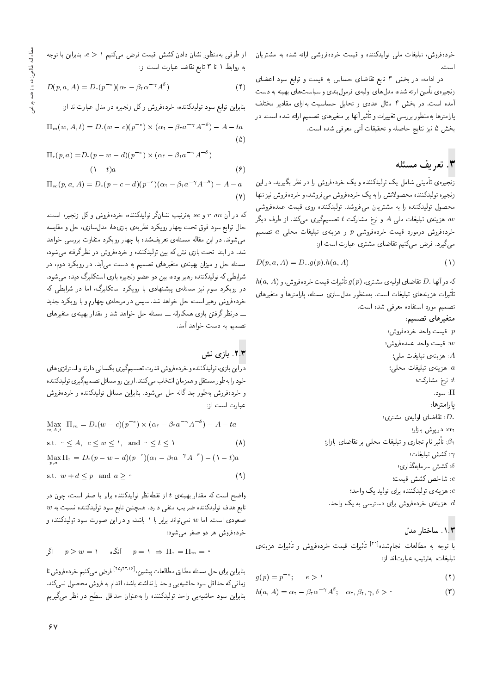خردهفروش، تبلیغات ملی تولیدکننده و قیمت خردهفروشی ارائه شده به مشتریان

در ادامه، در بخش ۳ تابع تقاضای حساس به قیمت و توابع سود اعضای زنجیرهی تأمین ارائه شده، مدل های اولیهی فرمولبندی و سیاست های بهینه به دست آمده است. در بخش ۴ مثال عددی و تحلیل حساسیت بهازای مقادیر مختلف پارامترها بهمنظور بررسی تغییرات و تأثیر آنها بر متغیرهای تصمیم ارائه شده است. در بخش ۵ نیز نتایج حاصله و تحقیقات آتی معرفی شده است.

# ۴. تعريف مسئله

زنجیرهی تأمینی شامل یک تولیدکننده و یک خردهفروش را در نظر بگیرید. در این زنجيره توليدكننده محصولاتش را به يک خردهفروش مىفروشد، و خردهفروش نيز تنها محصول تولیدکننده را به مشتریان می،فروشد. تولیدکننده روی قیمت عمدهفروشی ، هزینهی تبلیغات ملمی A و نرخ مشارکت t تصمیمگیری میکند. از طرف دیگر،  $w$ خردهفروش درمورد قیمت خردهفروشی p و هزینهی تبلیغات محلبی a تصمیم میگیرد. فرض میکنیم تقاضای مشتری عبارت است از:

$$
D(p, a, A) = D \cdot g(p) \cdot h(a, A) \tag{1}
$$

 $h(a,A)$  كه در آنها  $D.$  تقاضاي اوليهي مشترى،  $g(p)$  تأثيرات قيمت خردهفروش، و تأثیرات هزینههای تبلیغات است. بهمنظور مدلuسازی مسئله، پارامترها و متغیرهای تصميم مورد استفاده معرفي شده است.

- متغيرهاي تصميم:
- : قيمت واحد خردهفروش؛ : قيمت واحد عمدهفروش؛ . هزينهي تبليغات ملي؛  $A$ . هزینهی تبلیغات محلبی: : نرخ مشارکت؛  $t$ ∏: سود. يارامترها: :D. تقاضای اولیهی مشتری.  $\alpha_1$ : دريوش بازار؛  $\beta$ : تأثیر نام تجاری و تبلیغات محلی بر تقاضای بازار؛ : كشش تبليغات: 6: كشش سرمايەگذارى؛ e: شاخص كشش قيمت؛ .<br>e: هزینه ی تولیدکننده برای تولید یک واحد؛ . هزینهی خردهفروش برای دسترسی به یک واحد. $d$

## ۰۱.۳ ساختار مدل

با توجه به مطالعات انجامشده<sup>[۲۱]</sup> تأثیرات قیمت خردهفروش و تأثیرات هزینهی تبليغات، بەترتىب عبارتاند از:

$$
g(p) = p^{-e}; \qquad e > 1 \tag{1}
$$

$$
h(a, A) = \alpha_{\tau} - \beta_{\tau} \alpha^{-\gamma} A^{\delta}; \quad \alpha_{\tau}, \beta_{\tau}, \gamma, \delta > \circ
$$
 (7)

از طرفی بهمنظور نشان دادن کشش قیمت فرض میکنیم ۱ < e. بنابراین با توجه به روابط ١ تا ٣ تابع تقاضا عبارت است از:

$$
D(p, a, A) = D \cdot (p^{-e}) (\alpha_{\tau} - \beta_{\tau} \alpha^{-\gamma} A^{\delta})
$$
 (†)

بنابراین توابع سود تولیدکننده، خردهفروش وکل زنجیره در مدل عبارتاند از:

$$
\Pi_m(w, A, t) = D_v(w - c)(p^{-e}) \times (\alpha_t - \beta_t a^{-\gamma} A^{-\delta}) - A - ta
$$
\n
$$
(2)
$$

$$
\Pi_r(p, a) = D_r(p - w - d)(p^{-e}) \times (\alpha_r - \beta_r a^{-\gamma} A^{-\delta})
$$
  
-(1-t)a (9)

$$
\Pi_{sc}(p, a, A) = D \cdot (p - c - d)(p^{-e})(\alpha_1 - \beta_1 a^{-\gamma} A^{-\delta}) - A - a
$$

$$
(Y)
$$

که در آن  $r$  ،  $r$  و sc بهترتیب نشانگر تولیدکننده، خردهفروش و کل زنجیره است. حال توابع سود فوق تحت چهار رویکرد نظریهی بازیها، مدلسازی، حل و مقایسه می شوند. در این مقاله مسئلهی تعریف شده با چهار رویکرد متفاوت بررسی خواهد شد. در ابتدا تحت باری نش که بین تولیدکننده و خردهفروش در نظرگرفته میشود، مسئله حل و میزان بهینهی متغیرهای تصمیم به دست می]ید. در رویکرد دوم، در شرایطی که تولیدکننده رهبر بوده، بین دو عضو زنجیره بازی استکلبرگ دیده می شود. در رویکرد سوم نیز مسئلهی پیشنهادی با رویکرد استکلبرگ، اما در شرایطی که خردهفروش رهبر است، حل خواهد شد. سپس در مرحلهي چهارم و با رويكرد جديد ـــ درنظرگرفتن بازی همکارانه ـــ مسئله حل خواهد شد و مقدار بهینهی متغیرهای تصميم به دست خواهد آمد.

#### ۲.۳. بازی نش

دراین بازی، تولیدکننده و خردهفروش قدرت تصمیمگیری یکسانی دارند و استراتژی های خود را به طور مستقل و همزمان انتخاب مىكنند. از ين رو مسائل تصميمگيرى توليدكننده و خردهفروش بهطور جداگانه حل میشود. بنابراین مسائل تولیدکننده و خردهفروش عبارت است از:

$$
\begin{aligned}\n\text{Max}_{w,A,t} \ \Pi_m &= D \cdot (w - c)(p^{-\epsilon}) \times (\alpha_{\tau} - \beta_{\tau} a^{-\gamma} A^{-\delta}) - A - ta \\
\text{s.t.} \ \cdot \leq A, \ \ c \leq w \leq \lambda, \ \text{and} \ \cdot \leq t \leq \lambda \\
\text{Max } \Pi_r &= D \cdot (p - w - d)(p^{-\epsilon})(\alpha_{\tau} - \beta_{\tau} a^{-\gamma} A^{-\delta}) - (\lambda - t)a\n\end{aligned}
$$

$$
s.t. w + d \le p \quad \text{and} \quad a \ge \circ \tag{3}
$$

واضح است که مقدار بهینهی t از نقطهنظر تولیدکننده برابر با صفر است، چون در  $\,w$  تابع هدف تولیدکننده ضریب منفی دارد. همچنین تابع سود تولیدکننده نسبت به صعودی است. اما w نمیٍ تواند برابر با ۱ باشد، و در این صورت سود تولیدکننده و خردهفروش هر دو صفر میشود:

$$
p \geq w = 1
$$
  $p = 1 \Rightarrow \Pi_r = \Pi_m = 0$ 

بنابراین برای حل مسئله مطابق مطالعات پیشین، <sup>[۲۵٫۲۳٬۱۶]</sup> فرض میکنیم خردهفروش تا زماني كه حداقل سود حاشيهيي واحد را نداشته باشد، اقدام به فروش محصول نمىكند. بنابراین سود حاشیهیی واحد تولیدکننده را بهعنوان حداقل سطح در نظر میگیریم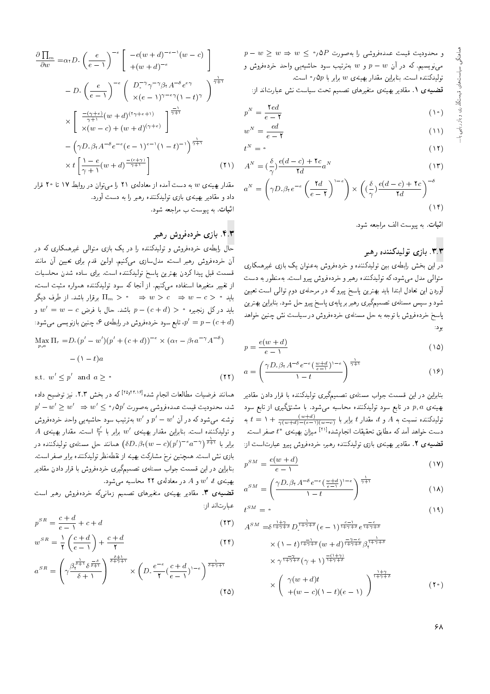$p - w \geq w \Rightarrow w \leq \rho \wedge P$ و محدودیت قیمت عمدهفروشی را بهصورت  $P$ مینویسیم. که در آن  $p-w$  و  $w$  بهترتیب سود حاشیهیمی واحد خردهفروش و توليدكننده است. بنابراين مقدار بهينهي  $w$  برابر با  $\Delta p$ ر است.

قضمیه ی ۱. مقادیر بهینهی متغیرهای تصمیم تحت سیاست نش عبارتاند از:

$$
p^N = \frac{\mathbf{Y} \, ed}{e - \mathbf{Y}} \tag{10}
$$

$$
w^N = \frac{ed}{e - \mathbf{Y}}\tag{11}
$$

$$
t^N = \circ
$$
\n
$$
v = \delta \cdot e(d - c) + \mathbf{Y}c
$$
\n
$$
v = \delta \cdot e(d - c) + \mathbf{Y}c
$$

$$
A^N = \left(\frac{c}{\gamma}\right) \frac{e(a-c) + c}{\gamma d} a^N \tag{17}
$$

$$
a^N = \left(\gamma D, \beta_t e^{-\epsilon} \left(\frac{\tau d}{e - \tau}\right)^{1-c}\right) \times \left((\frac{\delta}{\gamma}) \frac{e(d - c) + \tau c}{\tau d}\right)^{c} \tag{15}
$$

اثبات. به پیوست الف مراجعه شود.

#### ۳.۳. بازی تولیدکننده رهبر

.<br>در این بخش رابطهی بین تولیدکننده و خردهفروش بهعنوان یک بازی غیرهمکاری متوالي مدل مي شود، كه توليدكننده رهبر و خردهفروش پيرو است. بهمنظور به دست آوردن این تعادل ابتدا باید بهترین پاسخ پیروکه در مرحلهی دوم توالی است تعیین شود و سپس مسئله**ی تصمیمگیری رهبر بر پایهی پاس**خ پیرو حل شود. بنابراین بهترین پاسخ خرده فروش با توجه به حل مسئلهى خرده فروش در سیاست نش چنین خواهد بو د:

$$
p = \frac{e(w+d)}{e-1} \tag{10}
$$

$$
a = \left(\frac{\gamma D \cdot \beta_t A^{-\delta} e^{-\epsilon} \left(\frac{w+d}{e-1}\right)^{1-\epsilon}}{1-t}\right)^{\frac{1}{\gamma+1}}
$$
\n
$$
(1\%)
$$

.<br>بنابراین در این قسمت جواب مسئلهی تصمیمگیری تولیدکننده با قرار دادن مقادیر بهینهی p, a در تابع سود تولیدکننده محاسبه میشود. با مشتقگیری از تابع سود تولیدکننده نسبت به A و t = ۱ +  $\frac{(w+d)}{\gamma (w+d)-(e-)(w-c)}$  به a و t = ۱ +  $\frac{(w+d)}{\gamma (w+d)-(e-)(w-c)}$ دست خواهد آمد که مطابق تحقیقات انجامشده<sup>[۲۱]</sup> میزان بهینهی \* *تا ص*فر است. قضمیه ی ۲. مقادیر بهینهی بازی تولیدکننده رهبر، خردهفروش پیرو عبارتاست از:

$$
p^{SM} = \frac{e(w+d)}{e-1} \tag{1V}
$$

$$
a^{SM} = \left(\frac{\gamma D_{\cdot} \beta_{\mathfrak{r}} A^{-\delta} e^{-\epsilon} \left(\frac{w+d}{e-1}\right)^{\mathfrak{r}-\epsilon}}{\mathfrak{r}-t}\right)^{\frac{1}{\gamma+1}} \tag{14}
$$

$$
t^{SM} = \cdot \tag{14}
$$

$$
A^{SM} = \delta^{\frac{1+\gamma}{1+\gamma+\delta}} D_{\circ}^{\frac{1}{1+\gamma+\delta}} (e-1)^{\frac{e-1}{1+\gamma+\delta}} e^{\frac{-e}{1+\gamma+\delta}}
$$
  
\n
$$
\times (1-t)^{\frac{-1}{1+\gamma+\delta}} (w+d)^{\frac{-\gamma-e}{1+\gamma+\delta}} \beta_{\gamma}^{\frac{1}{1+\gamma+\delta}}
$$
  
\n
$$
\times \gamma^{\frac{-\gamma}{1+\gamma+\delta}} (\gamma+1)^{\frac{-(1+\gamma)}{1+\gamma+\delta}}
$$
  
\n
$$
\times \left( \gamma(w+d)t + (w-c)(1-t)(e-1) \right)
$$
  
\n
$$
(1^{\circ})
$$

$$
\frac{\partial \prod_{m}}{\partial w} = \alpha_{\tau} D_{\tau} \left( \frac{e}{e - \tau} \right)^{-e} \left[ \frac{-e(w + d)^{-e - \tau}(w - c)}{+(w + d)^{-e}} \right]
$$

$$
- D_{\tau} \left( \frac{e}{e - \tau} \right)^{-e} \left( \frac{D_{\tau}^{-\gamma} \gamma^{-\gamma} \beta_{\tau} A^{-\delta} e^{e \gamma}}{\chi(e - \tau)^{\gamma - e \gamma} (\tau - t)^{\gamma}} \right)^{\frac{1}{\gamma + \tau}}
$$

$$
\times \left[ \frac{-(\gamma + e)}{\gamma + \tau} (w + d)^{(\tau + e + \tau)} \right]^{\frac{-\tau}{\gamma + \tau}}
$$

$$
- \left( \gamma D_{\tau} \beta_{\tau} A^{-\delta} e^{-e} (e - \tau)^{e - \tau} (\tau - t)^{-\tau} \right)^{\frac{1}{\gamma + \tau}}
$$

$$
\times t \left[ \frac{\tau - e}{\gamma + \tau} (w + d)^{\frac{-(e + \tau)}{\gamma + \tau}} \right] \tag{1}
$$

مقدار بهینهی  $w$  به دست آمده از معادلهی ۲۱ را می توان در روابط ۱۷ تا ۲۰ قرار داد و مقادیر بهینهی بازی تولیدکننده رهبر را به دست آورد. اثبات. به پیوست ب مراجعه شود.

#### ۴.۳. بازی خردهفروش رهمبر

حال رابطهی خردهفروش و تولیدکننده را در یک بازی متوالی غیرهمکاری که در آن خردهفروش رهبر است، مدلسازی میکنیم. اولین قدم برای تعیین آن مانند قسمت قبل پیدا کردن بهترین پاسخ تولیدکننده است. برای ساده شدن محاسبات از تغییر متغیرها استفاده میکنیم. از آنجا که سود تولیدکننده همواره مثبت است، باید  $w - c \Rightarrow w > c \Rightarrow w > c \Rightarrow w - c > w$  برقرار باشد. از طرف دیگر باید درکل زنجیره  $(c+d) > 0$  باشد. حال با فرض  $w' = w - c$  و : تابع سود خردهفروش در رابطه $\beta$  ، چنین بازنویسی میشود  $p'=p-(c+d)$ 

$$
\max_{p,a} \Pi_r = D.(p'-w')(p' + (c+d))^{-\epsilon} \times (\alpha_t - \beta_t a^{-\gamma} A^{-\delta})
$$

$$
- (\Lambda - t) a
$$

s.t.  $w' \leq p'$  and  $a \geq \infty$  $(11)$ 

همانند فرضیات مطالعات انجام شده<sup>[۲۵٫۲۳٬۱۶]</sup> که در بخش ۲.۳. نیز توضیح داده  $p'-w'\geq w'~\Rightarrow w'\leq$ ۵٫۵p٬ شد، محدودیت قیمت عمدهفروشی بهصورت نوشته می $\zeta$ هو که در آن  $p'-w'$  و  $w'$  بهترتیب سود حاشیهیی واحد خردهفروش  $A$  و تولیدکننده است. بنابراین مقدار بهینهی  $w'$  برابر با  $\frac{p'}{\mathsf{r}}$  است. مقدار بهینهی برابر با  $\frac{1}{\delta+1}\left( \frac{1}{\delta+1} \right) = \left( \delta D, \beta_\mathfrak{r}(w-c)(p')^{-e} \, a^{-\gamma} \right)$ همانند حل مسئله $p$  تولیدکننده در بازی نش است. همچنین نرخ مشارکت بهینه از نقطه نظر تولیدکننده برابر صفر است. بنابراین در این قسمت جواب مسئلهی تصمیمگیری خردهفروش با قرار دادن مقادیر بهینهی  $u'$  ،  $u'$  و  $A$  در معادلهی ۲۲ محاسبه میشود.

قضیه می ۳. مقادیر بهینهی متغیرهای تصمیم زمانیکه خردهفروش رهبر است عبارتاند از:

$$
p^{SR} = \frac{c+d}{e-1} + c + d \tag{17}
$$

$$
w^{SR} = \frac{1}{\mathbf{r}} \left( \frac{c+d}{e-1} \right) + \frac{c+d}{\mathbf{r}} \tag{15}
$$

$$
a^{SR} = \left(\gamma \frac{\beta_{\tau}^{\frac{1}{\delta+1}} \delta^{\frac{-\delta}{\delta+1}}}{\delta+1}\right)^{\frac{\delta+1}{\delta+\gamma+1}} \times \left(D_{\cdot} \frac{e^{-\epsilon}}{\gamma} (\frac{c+d}{e-1})^{1-\epsilon}\right)^{\frac{1}{\delta+\gamma+1}}
$$
(12)

۶۸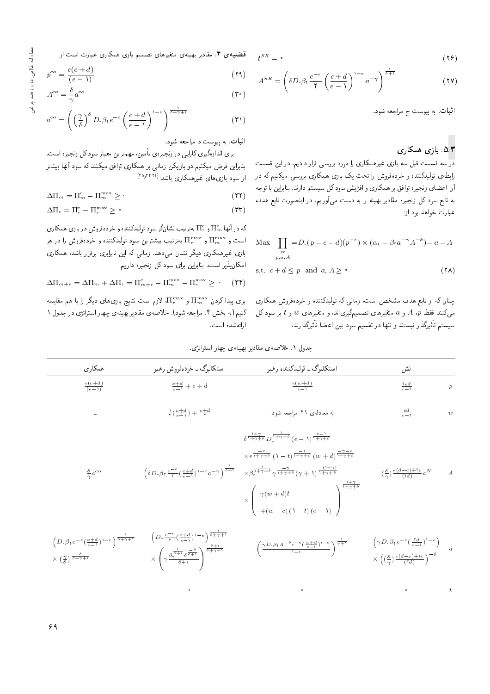$$
t^{SR} = \left( \delta D, \beta t \frac{e^{-e}}{\gamma} \left( \frac{c+d}{e-1} \right)^{1-e} a^{-\gamma} \right)^{\frac{1}{\delta+1}}
$$
(YY)

اثبات. به پیوست ج مراجعه شود.

### $\overline{\mathcal{A}}$ . بازی همکاری

در سه قسمت قبل سه بازی غیرهمکاری را مورد بررسی قرار دادیم. در این قسمت رابطهی تولیدکننده و خردهفروش را تحت یک بازی همکاری بررسی میکنیم که در آن اعضای زنجیره توافق بر همکاری و افزایش سود کل سیستم دارند. بنابراین با توجه به تابع سود کل زنجیره مقادیر بهینه را به دست می]وریم. در اینصورت تابع هدف عبارت خواهد بود از:

$$
\begin{aligned} \text{Max} \quad & \prod_{\substack{s \ c}} = D \cdot (p - c - d)(p^{-e}) \times (\alpha_1 - \beta_1 a^{-\gamma} A^{-\delta}) - a - A \\ \text{s.t.} \quad & c + d \le p \quad \text{and} \quad a, A \ge \text{`} \end{aligned} \tag{14}
$$

چنان که از تابع هدف مشخص است، زمانی که تولیدکننده و خردهفروش همکاری  $p$ میکنند فقط  $p$  A و  $a$  متغیرهای تصمیمگیریاند، و متغیرهای  $w$  و  $t$  بر سود کل سیستم تاتیرددار نیستند و تنها در تفسیم سود بین اعضا تأتیرددارند.<br>.

قضیه می ۴. مقادیر بهینه ی متغیرهای تصمیم بازی همکاری عبارت است از:  $t^{SR} = \cdot$ 

$$
p^{co} = \frac{e(c+d)}{(e-1)}
$$
 (19)

$$
A^{co} = \frac{\delta}{\gamma} a^{co}
$$
 (7°)

$$
a^{co} = \left( \left( \frac{\gamma}{\delta} \right)^{\delta} D \cdot \beta_1 e^{-\epsilon} \left( \frac{c+d}{e-1} \right)^{1-\epsilon} \right)^{\frac{1}{\delta + \gamma + 1}} \tag{71}
$$

اثبات. به پیوست د مراجعه شود.

براي اندازهگيري كارايي در زنجيرهي تأمين، مهمترين معيار سود كل زنجيره است. بنابراین فرض میکنیم دو بازیکن زمانی بر همکاری توافق میکنند که سود آنها بیشتر از سود بازیهای غیرهمکاری باشد:<sup>[۲۵٫۲۴،۲۲]</sup>

$$
\Delta \Pi_m = \Pi_m^c - \Pi_m^{\max} \geq \text{°}
$$
\n<sup>(\Upsilon\Upsilon)</sup>

$$
\Delta \Pi_r = \Pi_r^c - \Pi_r^{\max} \geq \circ \tag{TT}
$$

که در آنها  $\Pi^e_{\tau}$  و  $\Pi^e$ به ترتیب نشانگر سود تولیدکننده و خردهفروش در بازی همکاری<br>است در است و پس از استان میشود و استان است و  $\Pi^{\max}_{r}$  به سرتیب بیشترین سود تولیدکننده و خردهفروش را در هر  $\mathbb{R}^{m}$ بازی غیرهمکاری دیگر نشان میدهد. زمانی که این نابرابری برقرار باشد، همکاری امکان پذیر است. بنابراین برای سود کل زنجیره داریم:

$$
\Delta \Pi_{m+r} = \Delta \Pi_m + \Delta \Pi_r = \Pi_{m+r}^c - \Pi_m^{\max} - \Pi_r^{\max} \ge \text{°} \quad (\text{YF})
$$

برای پیدا کردن × IT<sup>max</sup> و II<sup>max</sup>، لازم است نتایج بازی۵ای دیگر را با هم مقایسه<br>کرد است که استفاده ایران کنیم (به بخش ۴. مراجعه شود). خلاصهی مقادیر بهینهی چهاراستراتژی در جدول ۱ ارائهشده است.

جدول ١. خلاصه ی مقادیر بهینه ی چهار استرانژی.

| همكاري                                                                                                                                                                                                                                                                    | استکلبرگ ــ خردهفروش رهبر                                                                                                                                                                                                                                                                                                                       | استکلبرگ ــ توليدکننده رهبر                                                                                                                                                                                                                                                                                                                                                                                                                                                                                                  | نش                                                                                                                                                                                         |                  |
|---------------------------------------------------------------------------------------------------------------------------------------------------------------------------------------------------------------------------------------------------------------------------|-------------------------------------------------------------------------------------------------------------------------------------------------------------------------------------------------------------------------------------------------------------------------------------------------------------------------------------------------|------------------------------------------------------------------------------------------------------------------------------------------------------------------------------------------------------------------------------------------------------------------------------------------------------------------------------------------------------------------------------------------------------------------------------------------------------------------------------------------------------------------------------|--------------------------------------------------------------------------------------------------------------------------------------------------------------------------------------------|------------------|
| $\frac{e(c+d)}{(e-1)}$                                                                                                                                                                                                                                                    | $\frac{c+d}{e-1}+c+d$                                                                                                                                                                                                                                                                                                                           | $\frac{e(w+d)}{e-\lambda}$                                                                                                                                                                                                                                                                                                                                                                                                                                                                                                   | $\frac{red}{e-1}$                                                                                                                                                                          | $\boldsymbol{p}$ |
|                                                                                                                                                                                                                                                                           | $\frac{1}{r}(\frac{c+d}{e-1}) + \frac{c+d}{r}$                                                                                                                                                                                                                                                                                                  | به معادلهى ٢١ مراجعه شود.                                                                                                                                                                                                                                                                                                                                                                                                                                                                                                    | $rac{ed}{e-1}$                                                                                                                                                                             | $\boldsymbol{w}$ |
| $rac{\delta}{\gamma} a^{co}$                                                                                                                                                                                                                                              | $\left(\delta D \cdot \beta \gamma \frac{e^{-e}}{\gamma} \left(\frac{c+d}{e-1}\right)^{1-e} a^{-\gamma}\right)^{\frac{1}{\delta+1}}$                                                                                                                                                                                                            | $\delta^{\frac{1+\gamma}{1+\gamma+\delta}}D_{\circ}^{\frac{1}{1+\gamma+\delta}}(e-\lambda)^{\frac{e-1}{1+\gamma+\delta}}$<br>$\times e^{\frac{-e}{1+\gamma+\delta}}$ $(\lambda - t)^{\frac{-\gamma}{1+\gamma+\delta}}$ $(w + d)^{\frac{-\gamma-e}{1+\gamma+\delta}}$<br>$\times\beta_{\mathfrak{k}}^{\frac{1}{1+\gamma+\delta}}\gamma^{\frac{-\gamma}{1+\gamma+\delta}}(\gamma+\mathfrak{k})^{\frac{-(1+\gamma)}{1+\gamma+\delta}}$<br>$\times \left( \begin{array}{c} \gamma(w+d)t \ + (w-c)(1-t)(e-1) \end{array} \right)$ | $\left(\frac{\delta}{\gamma}\right) \frac{e(d-c)+1}{(1d)} a^N$ A                                                                                                                           |                  |
| $\left(D\cdot\beta\gamma\,e^{-\,e}\left(\,\frac{c+d}{e-\,\mathfrak{f}}\,\right)^{\mathfrak{f}}\,e^{\,-\,e}\,\right)^{\,\frac{\mathfrak{f}}{\delta\,+\,\gamma\,+\,\mathfrak{f}}}$<br>$\times$ $\left(\frac{\gamma}{\delta}\right) \frac{\delta}{\delta + \gamma + \gamma}$ | $\left(D,\tfrac{e^{-e}}{\mathsf{t}}(\tfrac{c+d}{e-\mathsf{t}})^{\mathsf{t}-e}\right)^{\tfrac{\mathsf{t}}{\delta+\gamma+\mathsf{t}}}$<br>$\times \left(\gamma \frac{\beta_{\mathfrak{r}}^{\frac{1}{\delta+\gamma}} \delta^{\frac{-\delta}{\delta+\gamma}}}{\delta+\mathfrak{r}}\right)^{\frac{\sigma+\mathfrak{r}}{\delta+\gamma+\mathfrak{r}}}$ | $\left(\frac{\gamma D\cdot \beta \gamma A^{-\delta}\,e^{-\,e}\,(\,\frac{w+d}{e-1}\,)^{1-e}}{\gamma-t}\right)^{\,\frac{1}{\gamma+1}}$                                                                                                                                                                                                                                                                                                                                                                                         | $\left(\gamma D \cdot \beta_7 e^{-e} \left(\frac{\tau d}{e-\tau}\right)^{1-e}\right)$<br>$\times \left(\left(\frac{\delta}{\gamma}\right) \frac{e(d-e)+\tau e}{(\tau d)}\right)^{-\delta}$ |                  |
|                                                                                                                                                                                                                                                                           | $\circ$                                                                                                                                                                                                                                                                                                                                         | $\circ$                                                                                                                                                                                                                                                                                                                                                                                                                                                                                                                      |                                                                                                                                                                                            |                  |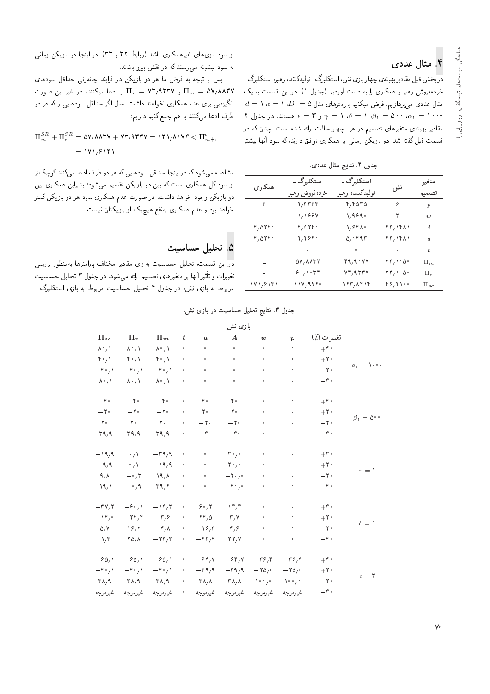# ۴. مثال عددی

<mark>در</mark> بخش قبل مقادیر بهینهی چهار بازی نش، استکلبرگ ـ تولیدکننده رهبر، استکلبرگ ـ خرده فروش رهبر و همکاری را به دست آوردیم (جدول ۱). در این قسمت به یک  $d = \sqrt{c} = \sqrt{D}$ ، مثال عددی می $\zeta$ ردازیم. فرض میکنیم پارامترهای مدل ۵ ۲ مه موسمتند. در جدول ۲  $\delta = \gamma = 1$ ،  $\delta = 1$  ،  $\beta_1 = \alpha_2$  مستند. در جدول ۲ مقادیر بهینهی متغیرهای تصمیم در هر چهار حالت ارائه شده است. چنان که در قسمت قبل گفته شد، دو بازیکن زمانی بر همکاری توافق دارند، که سود آنها بیشتر

جدول ٢. نتايج مثال عددي.

| همكارى   | استکلہ,گ ـ                        | استکلہ,گ ـ      |                                                            | متغير            |
|----------|-----------------------------------|-----------------|------------------------------------------------------------|------------------|
|          | خردهفروش رهبر                     | توليدكننده رهبر | نش                                                         | نصيميم           |
| ٣        | 7,7777                            | ۲٬۴۵۳۵          | ۶                                                          | $\boldsymbol{p}$ |
|          | 1,1997                            | 1,9890          | ٣                                                          | w                |
| ۴٫۵۲۴۰   | $r, \Delta r r$ .                 | ٬۶۴۸۰           | 73, 1481                                                   | $\bm{A}$         |
| ۴٫۵۲۴۰   | 2,2820                            | 0,0.11          | 13,1411                                                    | $\alpha$         |
| -        | $\circ$                           | $\circ$         | $\circ$                                                    | ŧ                |
| -        | $\Delta V$ , $\Delta \Lambda T V$ | 49,90 V V       | $\mathsf{Y}\mathsf{F}_1\setminus\mathsf{G}\circ\mathsf{G}$ | $\Pi_m$          |
| $\sim$   | 5.1077                            | vr, arrv        | $\mathsf{Y}\mathsf{F}_1\setminus\mathsf{G}$                | $\Pi_r$          |
| ۱۷۱٬۶۱۳۱ | ۱۱۷٬۹۹۲۰                          | ۱۲۳, ۱۴۱۴       | ۴۶٬۲۱۰۰                                                    | $\Pi_{sc}$       |

از سود بازی های غیرهمکاری باشد (روابط ۳۲ و ۳۳). در اینجا دو بازیکن زمانی به سود بیشینه میرسند که در نقش پیرو باشند.

پس با توجه به فرض ما هر دو بازيكن در فرايند چانهزنى حداقل سودهاى و T $_{r}$  = ۷۳٫۹۳۳۷ و II $_{r}$  = ۷۳٫۹۳۳۷ و او ادعا میکنند، در غیر این صورت انگیزهیی برای عدم همکاری نخواهند داشت. حال اگر حداقل سودهایی راکه هر دو طرف ادعا مىكنند با هم جمع كنيم داريم:

$$
\Pi_m^{SR} + \Pi_r^{SR} = \Delta V_f \Delta \Gamma V + V \Gamma_f \Gamma \Gamma V = \Gamma V_f \Delta V V \Gamma \langle \Pi_{m+r}^c
$$
  
= \langle V \rangle\_f \langle V \Gamma \rangle

مشاهده میشود که در اینجا حداقل سودهایی که هر دو طرف ادعا میکنند کوچکتر از سود کل همکاری است که بین دو بازیکن تقسیم می شود؛ بنابراین همکاری بین دو بازیکن وجود خواهد داشت. در صورت عدم همکاری سود هر دو بازیکن کمتر خواهد بود و عدم همکاری به نفع هیچ یک از بازیکنان نیست.

### 0. تحليل حساسيت

در این قسمت، تحلیل حساسیت بهازای مقادیر مختلف پارامترها بهمنظور بررسی C}U=UL p}rLD 3 pwOH QO "OwW|t x=Q= s}tYD |=yQ}eDt Q@ =yv; Q}F -=D w C=Q}}eD مربوط به بازی نش، در جدول ۴ تحلیل حساسیت مربوط به بازی استکلبرگ ۔

|                                           |                                        |                                        |                      |                                       | بازی نش                           |                                   |                                         |                      |                              |
|-------------------------------------------|----------------------------------------|----------------------------------------|----------------------|---------------------------------------|-----------------------------------|-----------------------------------|-----------------------------------------|----------------------|------------------------------|
| $\Pi_{sc}$                                | $\Pi_r$                                | $\Pi_m$                                | $\boldsymbol{t}$     | $\boldsymbol{a}$                      | $\boldsymbol{A}$                  | $\boldsymbol{w}$                  | $\boldsymbol{p}$                        | تغييرات (٪)          |                              |
| $\lambda \cdot / \lambda$                 | $\lambda \cdot / \lambda$              | $\Lambda^{\circ}$ , $\Lambda$          | $\hat{\mathbf{o}}$   | $\hat{\mathbf{o}}$                    | $\bullet$                         | $\bullet$                         | $\hat{\mathbf{o}}$                      | $+\mathfrak{f}\cdot$ |                              |
| $\uparrow \circ / \uparrow$               | $\uparrow \circ / \uparrow$            | $\mathfrak{p}_{\circ}$                 | $\circ$              | $\circ$                               | $\bullet$                         | $\circ$                           | $\bullet$                               | $+7$ .               |                              |
| $-\mathfrak{k} \cdot \mathfrak{h}$        | $-\mathfrak{k} \cdot \mathfrak{z}$     | $-\mathfrak{k} \cdot \mathfrak{g}$     | $\hat{\mathbf{o}}$   | $\bullet$                             | $\bullet$                         | $\bullet$                         | $\bullet$                               | $-\gamma$ .          | $\alpha_{1} = 1$             |
| $\lambda^{\circ}$ / $\lambda$             | $\lambda \cdot / \lambda$              | $\lambda^{\circ}$ / $\lambda$          | $\circ$              | $\bullet$                             | $\bullet$                         | $\bullet$                         | $\bullet$                               | $-\mathfrak{r}$ .    |                              |
| $-\gamma$ .                               | $-\mathfrak{r}$ .                      | $-\mathfrak{r}$ .                      | $\ddot{\phantom{a}}$ | $Y \circ$                             | $\mathbf{r}$ .                    | $\hat{\mathbf{o}}$                | $\hat{\mathbf{o}}$                      | $+\mathfrak{f}\cdot$ |                              |
| $-\mathbf{Y}$                             | $-\mathbf{Y}$                          | $-\mathbf{Y}$                          | $\circ$              | $Y^{\circ}$                           | $\mathsf{r}$ .                    | $\hat{\mathbf{o}}$                | $\bullet$                               | $+7$                 | $\beta_{1}=\Delta^{\circ}$ . |
| $\Upsilon$ .                              | $Y^{\circ}$                            | $Y^{\circ}$                            | $\hat{\mathbf{o}}$   | $-\mathsf{Y}$ .                       | $-\mathsf{Y}$                     | $\bullet$                         | $\bullet$                               | $-\mathbf{Y}$ .      |                              |
| 44.9                                      | $\Gamma$ 9,9                           | 44.9                                   | $\hat{\mathbf{o}}$   | $-\gamma$ .                           | $-\gamma$ .                       | $\bullet$                         | $\bullet$                               | $-\mathfrak{f}\cdot$ |                              |
| $-19,9$                                   | $\rightarrow$ / $\lambda$              | $-\mathbf{r} \mathbf{1}$               | $\bullet$            | $\hat{\mathbf{o}}$                    | $\mathfrak{p}_{\circ}$ ,          | $\bullet$                         | $\bullet$                               | $+$ ۴.               |                              |
| $-9,9$                                    | $\rightarrow$ / $\lambda$              | $-19,9$                                | $\hat{\mathbf{o}}$   | $\bullet$                             | $Y \circ \iota$                   | $\bullet$                         | $\bullet$                               | $+7$ .               |                              |
| 9, A                                      | $-\cdot$ , $\mathbf{r}$                | $\Lambda$ $\Lambda$                    | $\circ$              | $\bullet$                             | $-\mathbf{Y} \cdot e$             | $\bullet$                         | $\bullet$                               | $-\mathbf{Y}$ .      | $\gamma = \Lambda$           |
| $\lambda$ $\lambda$                       | $-\circ$ $, \circ$                     | $\Gamma$ 9,7                           | $\circ$              | $\circ$                               | $-\mathfrak{f} \circ \iota$       | $\circ$                           | $\bullet$                               | $-\mathfrak{r}$ .    |                              |
| $-\mathbf{r} \mathbf{v} \cdot \mathbf{r}$ | $-\frac{\rho}{\rho}$ $\sqrt{2}$        | $-\mathcal{N}r/\mathcal{r}$            | $\bullet$            | 9.7                                   | $\mathcal{N}$                     | $\bullet$                         | $\bullet$                               | $+\mathfrak{f}\cdot$ |                              |
| $-\mathcal{N}$ .                          | $-\mathbf{Y}\mathbf{F}/\mathbf{F}$     | $-\mathbf{r}/\mathbf{s}$               | $\bullet$            | $\mathbf{Y} \mathbf{Y}$ , $\Delta$    | $\mathbf{r}, \mathbf{v}$          | $\bullet$                         | $\bullet$                               | $+7$ .               |                              |
| $\Delta$ / $V$                            | $\sqrt{2}$                             | $-\mathfrak{r}_\ell\Lambda$            | $\bullet$            | $-18.7$                               | $\mathfrak{r},\mathfrak{s}$       | $\bullet$                         | $\bullet$                               | $-\mathbf{Y}$        | $\delta = 1$                 |
| $\sqrt{r}$                                | $\Upsilon \Delta / \Lambda$            | $-\mathsf{Y}\mathsf{r}_\ell\mathsf{r}$ | $\bullet$            | $-\mathbf{Y}_{\mathcal{F}}\mathbf{Y}$ | $\mathbf{Y}\mathbf{Y}/\mathbf{Y}$ | $\circ$                           | $\bullet$                               | $-\mathfrak{r}$ .    |                              |
| $-\frac{\rho}{\rho}$                      | $-\frac{\rho}{\rho}$                   | $-\frac{\rho}{\rho}$                   | $\mathcal{A}$        | $-\frac{\rho}{\sqrt{2}}$              | $-\frac{\rho}{\rho}$              | $-\mathbf{r}\mathbf{9}\mathbf{0}$ | $-\mathbf{r} \mathbf{r}$ , $\mathbf{r}$ | $+^{\circ}$          |                              |
| $-\mathfrak{r} \cdot \mathfrak{r}$        | $-\mathfrak{f} \circ \iota$            | $-\mathfrak{k} \cdot / \Lambda$        | $\,$ 0               | $-\mathbf{r} \mathbf{1} \mathbf{1}$   | $-\Gamma$ 9/9                     | $-70$                             | $-70,$                                  | $+7$                 |                              |
| $\Gamma \Lambda$ <sub>/</sub> 9           | $\mathsf{r}_{\mathsf{A}_{\mathsf{f}}}$ | ۳۸ $/$ ۹                               | $\bullet$            | $\Gamma \Lambda / \Lambda$            | $\mathsf{r}_{\Lambda/\Lambda}$    | $\lambda \circ \circ \mu \circ$   | $\lambda \circ \circ \mu$               | $-\mathbf{Y}$ .      | $e = 5$                      |
| غيرموجه                                   | غيرموجه                                | غيرموجه                                | $\bullet$            | غيرموجه                               | غيرموجه                           | غيرموجه                           | غيرموجه                                 | $-\mathfrak{r}$ .    |                              |

جدول ٣. نتايج تحليل حساسيت در بازى نش.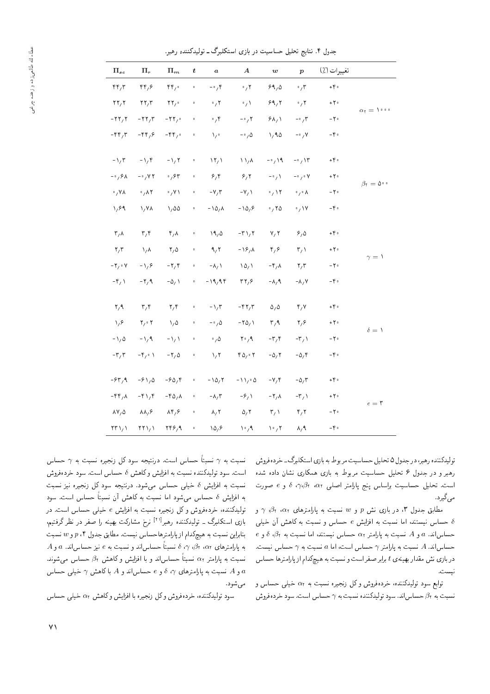|                                         | تغييرات (٪)             | $\boldsymbol{p}$            | $\boldsymbol{w}$                  | $\boldsymbol{A}$                   | $\boldsymbol{a}$                  | $\boldsymbol{t}$     | $\Pi_m$                                | $\Pi_r$                                  | $\Pi_{sc}$                                |
|-----------------------------------------|-------------------------|-----------------------------|-----------------------------------|------------------------------------|-----------------------------------|----------------------|----------------------------------------|------------------------------------------|-------------------------------------------|
|                                         | $+ \gamma$ .            | $\cdot$ , $\mathsf{r}$      | 99,0                              | $\cdot$ , $\mathsf{r}$             | $-\cdot$ , r                      | $\bullet$            | rr,                                    | rr, 9                                    | $\mathbf{r} \mathbf{r}$                   |
| $\alpha_1\equiv\lambda_1\cdots$         | $+ \gamma$ .            | $\cdot$ , $\mathsf{r}$      | 99,7                              | $\cdot / \Lambda$                  | $\cdot$ / ۲                       | $\ddot{\phantom{0}}$ | $\mathbf{Y} \mathbf{Y}_{I}$ $^{\circ}$ | $\mathbf{Y}\mathbf{Y}/\mathbf{Y}$        | $\mathbf{r}$ $\mathbf{r}$                 |
|                                         | $-\gamma$ .             | $-\circ$ , ۳                | 94/1                              | $-\circ$ , $\gamma$                | ۴ ، ۰                             | $\circ$              | $-YY$                                  | $-YY/Y$                                  | $-YY, Y$                                  |
|                                         | $-\,\mathfrak{f}\circ$  | $-\cdot$ , Y                | 1,90                              | $-\circ$ , $\Delta$                | $\lambda$                         | $\ddot{\phantom{0}}$ | $-\mathfrak{f}\mathfrak{f}_1$ .        | $-\mathfrak{f}\mathfrak{f}/\mathfrak{f}$ | $-\mathbf{f}\mathbf{f}/\mathbf{r}$        |
|                                         | $+ \gamma$ .            | $-\circ$ , $\vee$           | $-\circ$ , 19                     | $\mathcal{N}/\mathcal{N}$          | $\langle \uparrow \rangle$        | $\bullet$            | $-\lambda/7$                           | $-\iota/\iota$                           | $-\lambda/\tau$                           |
|                                         | $+7$                    | $ \circ$ $\prime$ $\circ$ Y | $-\circ$ / $\lambda$              | 9/7                                | 8/6                               | $\bullet$            | $\cdot$ , $\gamma$                     | $-0.7Y$                                  | $-0.9A$                                   |
| $\beta_{\mathfrak{r}} = \Delta^{\circ}$ | $-7$                    | $\circ$ , $\circ$ $\wedge$  | $\cdot$ / $\gamma$                | $-Y/$                              | $-V/T$                            | $\bullet$            | $\cdot$ , Y \                          | $\cdot$ , $\wedge$ $\vee$                | $\cdot$ , Y A                             |
|                                         | $-\gamma$ .             | $\cdot$ / $\vee$            | $\cdot$ , ۲۵                      | $-\frac{1}{2}$                     | $-\log \Lambda$                   | $\bullet$            | 1/20                                   | $\lambda/\gamma\lambda$                  | $\sqrt{2}$                                |
|                                         | $+\,\mathfrak{f}\circ$  | 9/0                         | Y, Y                              | $-\Gamma \setminus \Gamma$         | 19/0                              | $\bullet$            | $\mathbf{r}, \mathbf{v}$               | $\mathbf{r},\mathbf{r}$                  | $\mathsf{r}_\prime \mathsf{\Lambda}$      |
|                                         | $+ \, \mathbf{Y} \circ$ | $\mathsf{r}_\ell$           | $\mathfrak{r}_{1}\mathfrak{s}$    | $-\frac{1}{2}$                     | 9/7                               | $\bullet$            | $\mathsf{Y}_{\mathsf{I}}\,\Delta$      | $\lambda/\lambda$                        | $\mathbf{r}/\mathbf{r}$                   |
| $\gamma = 1$                            | $-\gamma$ .             | $\mathbf{r},\mathbf{r}$     | $-\mathfrak{r}_{1}\wedge$         | $\lambda \Delta/2$                 | $-\Lambda$ <sub>/</sub> $\Lambda$ | $\bullet$            | $-\mathbf{Y}/\mathbf{Y}$               | $-\sqrt{2}$                              | $-Y \circ V$                              |
|                                         | $-\gamma$ .             | $-\Lambda$ , Y              | $-\lambda$ , ۹                    | rr, 9                              | $-19,95$                          | $\bullet$            | $-\Delta$ <sub>/</sub> \               | $-\mathbf{r}/\mathbf{q}$                 | $-\mathfrak{r}_{1}$                       |
|                                         | $+ \gamma$ .            | $\mathbf{r}, \mathbf{v}$    | $\Delta / \Delta$                 | $-\mathbf{f}\mathbf{y}/\mathbf{r}$ | $-\sqrt{r}$                       | $\bullet$            | $\mathbf{r},\mathbf{r}$                | $\mathbf{r},\mathbf{r}$                  | $\mathbf{y}/\mathbf{A}$                   |
|                                         | $+7$                    | $\mathbf{y}/\mathbf{y}$     | $\mathsf{r}_\ell$                 | $-\mathbf{Y}\Delta_{f}$            | $-\circ$ , $\Delta$               | $\ddot{\phantom{0}}$ | $\lambda/\Delta$                       | $\mathbf{Y}_f \circ \mathbf{Y}$          | $\lambda/\hat{r}$                         |
| $\delta = 1$                            | $-7$                    | $-\mathbf{r}$               | $-\mathbf{r}^{\prime}/\mathbf{r}$ | $Y^{\circ}/9$                      | $\cdot$ , $\Delta$                | $\circ$              | $-\lambda/2$                           | $-\frac{1}{4}$                           | $-\frac{1}{4}$                            |
|                                         | ه ۴ -                   | $-\Delta$ , ۴               | $-\Delta$ / ۲                     | $r_0$ , $r_0$                      | $\sqrt{r}$                        | $\ddot{\phantom{0}}$ | $-\mathbf{Y}/\Delta$                   | $-\mathfrak{f}_1 \circ \mathfrak{f}$     | $-\mathbf{r}/\mathbf{r}$                  |
|                                         | $+ \gamma$ .            | $-\Delta/\tau$              | $-\vee$                           | $-\lambda \lambda / 2 \Delta$      | $-10, 1$                          | $\bullet$            | $-\frac{6}{9}$                         | $-\frac{\rho}{\rho} \lambda / \Delta$    | $-94$                                     |
|                                         | $+$ $\Upsilon$ $\circ$  | $-\mathbf{r}$               | $-\mathbf{Y} \wedge \mathbf{A}$   | $-\frac{\epsilon}{l}$              | $-\lambda/\tau$                   | $\bullet$            | $-\Gamma \Delta / \Lambda$             | $-\gamma \gamma$                         | $-\mathbf{f} \mathbf{f}/\mathbf{A}$       |
| $e = 5$                                 | $-\,\Upsilon$ -         | $\mathbf{r}, \mathbf{r}$    | $\mathbf{r}_{\ell}$               | $\Delta$ / ۲                       | $\lambda, \tau$                   | $\bullet$            | $\lambda \mathfrak{r}_1 \mathfrak{s}$  | $\lambda \lambda / 8$                    | $\Lambda V/\Delta$                        |
|                                         | $-\gamma$ .             | $\lambda$ , 9               | $\mathcal{N} \circ \mathcal{N}$   | $\mathcal{N} \circ \mathcal{N}$    | $\lambda \Delta_f$ ۶              | $\bullet$            | $\mathbf{Y} \mathbf{Y} \mathbf{Y}$     | $\mathsf{YY} \setminus \mathsf{Y}$       | $\mathsf{Y}\mathsf{Y}\setminus\mathsf{Y}$ |
|                                         |                         |                             |                                   |                                    |                                   |                      |                                        |                                          |                                           |

جدول ۴. نتایج تحلیل حساسیت در بازی استکلبرگ ــ تولیدکننده رهبر.

تولیدکننده رهبر، در جدول ۵ تحلیل حساسیت مربوط به بازی استکلبرگ ـ خردهفروش<br>رهبر و در جدول ۶ تحلیل حساسیت مربوط به بازی همکاری نشان داده شده رهبر و در جدول 7 تحلیل حساسی*ت مر*بوط به بازی همداری سان داده سده<br>ا است. تحلیل حساسیت براساس پنج پارامتر اصلی ۵۲، β، ۰٫۰β۲ و e صورت<br>گ مى گيرد.

مطابق جدول ۳، در بازی نش p و w نسبت به پارامترهای  $\alpha$ r ، $\alpha$ r و حساس نیستند، اما نسبت به افزایش e حساس و نسبت به کاهش آن خیلی  $\delta$  $e$  حساساند.  $a$  و A نسبت به پارامتر  $\alpha$  حساس نیستند، اما نسبت به  $\delta$ ،  $\delta$  و  $\gamma$  حساس اند. A نسبت به پارامتر  $\gamma$  حساس است، اما $a$  نسبت به  $\gamma$  حساس نیست.  $t$  در بازی نش مقدار بهینه $t$  باربر صفر است و نسبت به هیچکدام از پارامترها حساس .<br>نيست.

توابع سود تولیدکننده، خردهفروش وکل زنجیره نسبت به  $\alpha$  خیلبی حساس و نسبت به  $\beta$  حساس اند. سود تولیدکننده نسبت به  $\gamma$  حساس است. سود خردهفروش

نسبت به  $\gamma$  نسبتاً حساس است. درنتیجه سود کل زنجیره نسبت به  $\gamma$  حساس است. سود تولیدکننده نسبت به افزایش و کاهش  $\delta$  حساس است. سود خردهفروش نسبت به افزایش  $\delta$  خیلی حساس میشود. درنتیجه سود کل زنجیره نیز نسبت به افزایش  $\delta$  حساس میشود اما نسبت به کاهش آن نسبتاً حساس است. سود تولیدکننده، خردهفروش وکل زنجیره نسبت به افزایش e خیلی حساس است. در بازی استکلبرگ ــ تولیدکننده رهبر<sup>[۲۱]</sup> نرخ مشارکت بهینه را صفر در نظر گرفتیم،<br>ما ایران من بنابراین نسبت به هیچکدام از پارامترهاحساس نیست. مطابق جدول ۴ ، p و w نسبت  $A$  به پارلمترهای  $\alpha_1$ ،  $\beta_1$ ،  $\gamma$ ،  $\delta$  نسبتاً حساساند و نسبت به  $e$  نیز حساساند.  $a$  و نسبت به پارلمتر  $\alpha$  نسبتاً حساساند و با افزایش و کاهش  $\beta$  حساس میشوند. و A نسبت به پارامترهای  $\delta$  ،  $\delta$  و e حساساند و A با کاهش  $\gamma$  خیلمی حساس مى شود.

سود تولیدکننده، خردهفروش وکل زنجیره با افزایش وکاهش  $\alpha$  خیلی حساس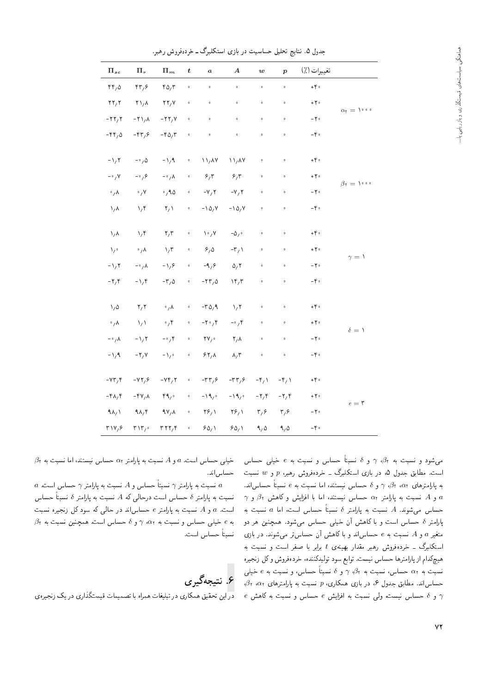| $\Pi_{sc}$                            | $\Pi_r$                                  | $\Pi_m$                           | t                    | $\boldsymbol{a}$                   | $\boldsymbol{A}$                    | $\boldsymbol{w}$     | $\boldsymbol{p}$     | تغييرات (٪)                           |                     |
|---------------------------------------|------------------------------------------|-----------------------------------|----------------------|------------------------------------|-------------------------------------|----------------------|----------------------|---------------------------------------|---------------------|
| $rr, \Delta$                          | rr, r                                    | $r_0, r$                          | $\circ$              | $\ddot{\phantom{0}}$               | $\ddot{\phantom{0}}$                | $\ddot{\phantom{0}}$ | $\ddot{\phantom{0}}$ | $+ \, \mathfrak{f}$ .                 |                     |
| $\mathbf{Y}\mathbf{Y}_{I}\mathbf{Y}$  | $\mathsf{Y}\setminus\mathsf{A}$          | $\mathbf{Y}\mathbf{Y},\mathbf{Y}$ | $\circ$              | $\circ$                            | $\bullet$                           | $\circ$              | $\bullet$            | $+7$                                  | $\alpha_1 = 1$      |
| $-TT/T$                               | $-Y \lambda/\lambda$                     | $-11$                             | $\circ$              | $\circ$                            | $\bullet$                           | $\circ$              | $\ddot{\phantom{0}}$ | $-\,\mathbf{Y}\,$ -                   |                     |
| $-\mathfrak{f}\mathfrak{f}/\Delta$    | $-\mathfrak{r}\mathfrak{r}'$             | $-\Gamma \Delta/\Gamma$           | $\circ$              | $\circ$                            | $\hat{\mathbf{o}}$                  | $\bullet$            | $\circ$              | $-\gamma$ .                           |                     |
| $-\sqrt{7}$                           | $-\circ/0$                               | $-\lambda/9$                      | $\ddot{\phantom{0}}$ | $\frac{1}{4}$                      | $\frac{1}{4}$                       | $\ddot{\phantom{0}}$ | $\bullet$            | $+ \gamma$ .                          |                     |
| $-\circ$ , Y                          | $-\cdot$ , $\circ$                       | $-\circ/\lambda$                  | $\circ$              | 8/5                                | 9/7                                 | $\circ$              | $\ddot{\text{o}}$    | $+ \gamma$ .                          | $\beta_1 = \lambda$ |
| $\cdot / \lambda$                     | $\cdot$ / Y                              | $\cdot$ ,90                       | $\circ$              | $-Y, Y$                            | $-V/7$                              | $\circ$              | $\bullet$            | $-\gamma$ .                           |                     |
| $\lambda/\lambda$                     | $\mathcal{N}/\mathcal{F}$                | $\mathsf{Y}_\ell$                 | $\circ$              | $-\log y$                          | $- \lambda \Delta / \nu$            | $\circ$              | $\circ$              | $-\,\mathop{\hbox{\rm e}}\nolimits$ . |                     |
| $\lambda/\lambda$                     | $\mathcal{N}/\mathcal{F}$                | $\mathbf{r},\mathbf{r}$           | $\circ$              | $\mathcal{N} \circ \mathcal{N}$    | – $\Delta/$ $^{\circ}$              | $\circ$              | $\circ$              | $+ \, \mathfrak{f} \circ$             |                     |
| $\chi$ .                              | $\cdot$ , $\lambda$                      | $\sqrt{r}$                        | $\ddot{\phantom{0}}$ | 9/0                                | $-\mathbf{r}/\lambda$               | $\circ$              | $\ddot{\phantom{0}}$ | $+7$                                  |                     |
| $-\frac{1}{1}$                        | $-\circ$ , $\wedge$                      | $-\frac{1}{2}$                    | $\circ$              | $-9,9$                             | $\Delta, \Upsilon$                  | $\circ$              | $\circ$              | $-\gamma$ .                           | $\gamma = 1$        |
| $-\gamma$ , $\gamma$                  | $-\lambda/\ell$                          | $-\mathsf{r}_{\ell}\Delta$        | $\circ$              | $-77/0$                            | $\mathcal{N}(\mathcal{F})$          | $^{\circ}$           | $\circ$              | $-\gamma$ .                           |                     |
| $\lambda/\Delta$                      | $\mathbf{Y} \setminus \mathbf{Y}$        | $\cdot$ , $\lambda$               | $\ddot{\phantom{0}}$ | $-\Gamma \Delta / 9$               | $\lambda/\tau$                      | $\circ$              | $\bullet$            | $+ \gamma$ .                          |                     |
| $\cdot / \lambda$                     | $\lambda/\lambda$                        | $\cdot$ , ۴                       | $\circ$              | $-\gamma \cdot$ , $\gamma$         | $-\circ$ , $\uparrow$               | $\circ$              | $\bullet$            | $+ \gamma \circ$                      |                     |
| $-\circ$ / $\lambda$                  | $-\frac{1}{4}$                           | $-\cdot$ , ۴                      | $\circ$              | $\mathbf{Y} \mathbf{Y}_f \circ$    | $\mathsf{Y}_{\mathsf{I}}\mathsf{A}$ | $\circ$              | $\circ$              | $-\gamma$ .                           | $\delta = 1$        |
| $-\frac{1}{4}$                        | $-\tau/\nu$                              | $-\lambda_{\ell}$ .               | $\ddot{\phantom{0}}$ | 54/4                               | $\lambda/\tau$                      | $\bullet$            | $\bullet$            | $-\gamma$ .                           |                     |
| $-YY/Y$                               | $-YY,\mathcal{S}$                        | $-YY, Y$                          | $\circ$              | $-\mathbf{r}\mathbf{r}/\mathbf{s}$ | $-\mathbf{r}\mathbf{r}/\mathbf{s}$  | $-\mathfrak{r}_{1}$  | $-\mathfrak{r}_{1}$  | $+\,\mathfrak{f}\circ$                |                     |
| $-\mathbf{f} \mathbf{A} / \mathbf{f}$ | $-\gamma v/\lambda$                      | 49,                               | $\circ$              | $-\lambda \hat{A}_{\gamma}$ :      | $-\lambda\beta/\circ$               | $-\gamma$ , $\gamma$ | $-\gamma$ , $\gamma$ | $+ \, \mathbf{Y} \circ$               |                     |
| $9\Lambda/3$                          | 9A/F                                     | 4V/A                              | $\circ$              | $\mathbf{Y}_{1}^{\mathcal{L}}$     | $\mathbf{Y}_{1}^{\mathcal{L}}$      | $\mathbf{r}_{i}$     | $\mathbf{r}_{i}$     | $-7$                                  | $e = 5$             |
| $T \vee Y / 9$                        | $\mathbf{r} \setminus \mathbf{r}_{\ell}$ | rrr, r                            | $\bullet$            | 90/1                               | 90/1                                | 9/0                  | 9,0                  | $-\gamma$ .                           |                     |

جدول ۵. نتایج تحلیل حساسیت در بازی استکلبرگ ــ خردهفروش رهبر.

میشود و نسبت به  $\beta_1$ ،  $\gamma$  و  $\delta$  نسبتاً حساس و نسبت به  $e$  خیلی حساس است. مطابق جدول ۵، در بازی استکلبرگ ــ خردهفروش رهبر، p و w نسبت به پارلمترهای  $\alpha_1$ ،  $\beta_1$ ، و  $\delta$  حساس نیستند، اما نسبت به  $e$  نسبتاً حساساند.  $\gamma$ و A نسبت به پارامتر  $\alpha$  حساس نیستند، اما با افزایش و کاهش  $\beta$  و  $a$ حساس می شوند. A نسبت به پارلمتر 8 نسبتاً حساس است، اما a نسبت به پارامتر 6 حساس است و با کاهش آن خیلی حساس میشود. همچنین هر دو متغیر  $a$  و A نسبت به e حساساند و با کاهش آن حساستر می شوند. در بازی استکلبرگ ــ خردهفروش رهبر مقدار بهینهی t برابر با صفر است و نسبت به هیچکدام از پارامترها حساس نیست. توابع سود تولیدکننده، خردهفروش وکل زنجیره نسبت به  $\alpha$ ۲ حساس، نسبت به ۶ $\gamma$ ، و 8 نسبتاً حساس، و نسبت به  $e$  خیلبی - حساساند. مطابق جدول ۶، در بازی همکاری، p نسبت به پارامترهای  $\alpha_7$ ،  $\beta_7$  $e$  و  $\delta$  حساس نیست، ولی نسبت به افزایش  $e$  حساس و نسبت به کاهش  $\gamma$ 

 $\beta$ ، خیلمی حساس است.  $a$  و A نسبت به پارامتر  $\alpha$  حساس نیستند، اما نسبت به حساس اند.

 $a$  'سیبت به پارامتر  $\gamma$  نسبتاً حساس و  $A$  نسبت به پارامتر  $\gamma$  حساس است.  $a$ نسبت به پارامتر  $\delta$  حساس است درحالی که A نسبت به پارامتر  $\delta$  نسبتاً حساس است.  $a \in A$  نسبت به پارامتر e حساس اند در حالی که سود کل زنجیره نسبت  $\beta$ به e خیلی حساس و نسبت به  $\gamma$  « « ته و  $\gamma$  و ه حساس است. همچنین نسبت به نسبتاً حساس است.

# ع. نتیجهگیری

<mark>در</mark> این تحقیق همکاری در تبلیغات همراه با تصمیمات قیمتگذاری در یک زنجیره ی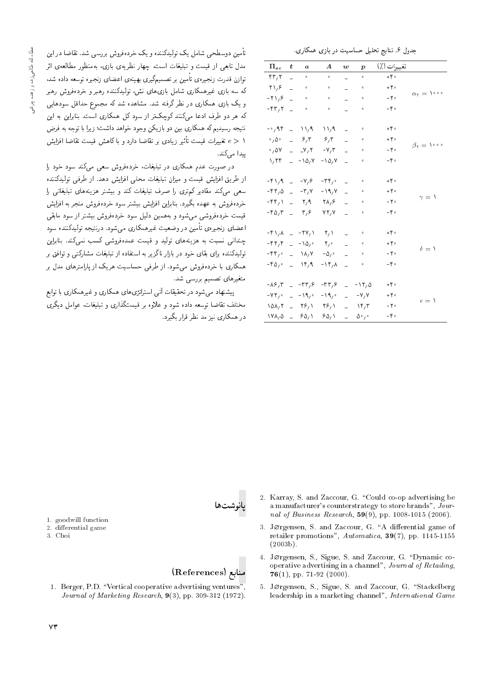|                                            |                  |                              |                             |                | <b>U</b>                      | تت             |                               |
|--------------------------------------------|------------------|------------------------------|-----------------------------|----------------|-------------------------------|----------------|-------------------------------|
| $\Pi_{sc}$                                 | $\boldsymbol{t}$ | a                            | $\boldsymbol{A}$            | w              | $\boldsymbol{p}$              | تغييرات (٪)    |                               |
| $\mathbf{r} \mathbf{r}$                    |                  | $\bullet$                    | $\circ$                     | -              | $\mathbf 0$                   | $+ \gamma$ .   |                               |
| $\mathbf{Y} \setminus \mathbf{Y}$          |                  | $\mathbf{o}$                 | $\bullet$                   | $\overline{a}$ | $\mathbf{o}$                  | $+7$           | $\alpha_1 = \lambda_1 \cdots$ |
| $-\mathbf{Y}\mathbf{1}_{1}\mathbf{9}$      |                  | $\mathbf{o}$                 | $\bullet$                   |                | $\mathbf{o}$                  | $-7$           |                               |
| $ \uparrow$ $\uparrow$ $\uparrow$          |                  | $\mathbf{o}$                 | $\bullet$                   |                | $\mathbf{o}$                  | $-\gamma$ .    |                               |
|                                            |                  |                              |                             |                |                               |                |                               |
| ۹۴ (۰- -                                   |                  | $-11.9$                      | $\mathcal{N}$               |                | $\circ$                       | $+ \gamma$ .   |                               |
| $\circ$ , $\Delta$ $\circ$                 | $\overline{a}$   | 8/7                          | 8/5                         |                | $\bullet$                     | $+7$           | $\beta_1 = \lambda_1 \cdots$  |
| $\cdot$ , $\Delta V$                       |                  | $-V/7$                       | $-\vee/\tau$                |                | $\mathbf{o}$                  | $-7$           |                               |
| 1/77                                       | $\overline{a}$   | $-\lambda \Delta / V$        | $-10, V$                    |                | o                             | $-\gamma$ .    |                               |
|                                            |                  |                              |                             |                |                               |                |                               |
| $-\frac{6}{3}$                             | $\overline{a}$   | $-\mathsf{Y},\mathsf{P}$     | $-\tau \gamma$ .            |                | $\mathbf{o}$                  | $+ \gamma$ .   |                               |
| $-57/0$                                    | $\overline{a}$   | $-\mathbf{r}$ , $\mathbf{v}$ | - 19, V                     | $\overline{a}$ | $\mathbf{o}$                  | $+7$           | $\gamma = 1$                  |
| -۴۴٫۱                                      | $\overline{a}$   | $\mathsf{Y}, \mathsf{Y}$     | $\Upsilon \Lambda / 8$      | $\overline{a}$ | $\mathbf{o}$                  | $-7$           |                               |
| $-\Gamma \Delta/\Gamma$                    | $\overline{a}$   | ۳٫۶                          | YY/Y                        |                | $\mathbf{o}$                  | $-\gamma$ .    |                               |
|                                            |                  |                              |                             |                |                               |                |                               |
| $-\uparrow \uparrow$ $\uparrow$ $\uparrow$ |                  | $-7V/$                       | $\mathsf{Y}_\ell$           | L.             | $\bullet$                     | $+ \epsilon$   |                               |
| ۴۲٫۴                                       | $\mathbf{r}$     | $-\lambda \Delta$            | $\mathsf{Y}_{\mathsf{I}}$ . |                | $\mathbf 0$                   | ۰۲۰            | $\delta = 1$                  |
| $-\mathfrak{f}\mathfrak{f}_f$ .            | $\mathbf{r}$     | $\lambda/\lambda/\lambda$    | $-\Delta/$                  |                | $\bullet$                     | $-7$           |                               |
| $ \uparrow$ $\varphi$ $\circ$              | $\mathbf{r}$     | $Y^{\mu}$                    | $-\lambda r/\lambda$        |                | $\mathbf{o}$                  | $-\gamma$ .    |                               |
|                                            |                  |                              |                             |                |                               |                |                               |
| -86,3                                      | $\equiv$         | $-\tau\tau$ , $\epsilon$     | $-77,8$                     | $\overline{a}$ | $-17,0$                       | $+ \epsilon$ . |                               |
| $-YY$ ,                                    | $\overline{a}$   | $-\lambda$ ۹,۰               | $-19,$                      | L.             | $-V/V$                        | ۰۲۰            | $e = \Delta$                  |
| ۱۵۸٬۲                                      | $\sim$           | $\Upsilon$ ۶/۱               | $\mathbf{Y}_{\mathcal{F}}$  | $\overline{a}$ | $\mathcal{N}$                 | - ۲۰           |                               |
| ۱۷۸٫۵                                      | $\overline{a}$   | 90/1                         | ۶۵٬۱                        | $\overline{a}$ | $\Delta^{\rm o}$ / $^{\rm o}$ | $-\gamma$ .    |                               |

۔<br>تأمین دوسطحے شامل بک تولیدکنندہ و بک خردہفروش پررسے شد. تقاضا در این مدل تابعی از قیمت و تبلیغات است. چهار نظریهی بازی، بهمنظور مطالعهی اثر .<br>توازن قدرت زنجیره ی تأمین بر تصمیمگیری بهینه ی اعضای زنجیره توسعه داده شد، که سه بازی غیرهمکاری شامل بازی،ای نش، تولیدکننده رهبر و خردهفروش رهبر و یک بازی همکاری در نظر گرفته شد. مشاهده شد که مجموع حداقل سودهایی که هر دو طرف ادعا میکنند کوچکتر از سود کل همکاری است. بنابراین به این نتیجه رسیدیم که همکاری بین دو بازیکن وجود خواهد داشت؛ زیرا با توجه به فرض ا < e تغییرات قیمت تأثیر زیادی بر تقاضا دارد و با کاهش قیمت تقاضا افزایش مدا مے کند.

در صورت عدم همکاری در تبلیغات، خردهفروش سعی میکند سود خود را از طریق افزایش قیمت و میزان تبلیغات محلمی افزایش دهد. از طرفی تولیدکننده سعی میکند مقادیر کمتری را صرف تبلیغات کند و بیشتر هزینههای تبلیغاتی را خردهفروش به عهده بگیرد. بنابراین افزایش بیشتر سود خردهفروش منجر به افزایش قیمت خردهفروشی میشود و بههمین دلیل سود خردهفروش بیشتر از سود مابقی اعضای زنجیرهی تأمین در وضعیت غیرهمکاری می,شود. درنتیجه تولیدکننده سود .<br>چندانی نسبت به هزینههای تولید و قیمت عمدهفروشی کسب نمیکند. بنابراین تولیدکننده برای بقای خود در بازار ناگزیر به استفاده از تبلیغات مشارکتی و توافق بر همکاری با خردهفروش میشود. از طرفی حساسیت هریک از پارامترهای مدل بر متغیرهای تصمیم بررسی شد.

پیشنهاد می شود در تحقیقات آتی استراتژی های همکاری و غیرهمکاری با توابع مختلف تقاضا توسعه داده شود و علاوه بر قیمتگذاری و تبلیغات، عوامل دیگری در همکاری نیز مد نظر قرار یگیرد.



1. goodwill function

- 2. differential game
- 3. Choi

# منابع (References)

- 1. Berger, P.D. "Vertical cooperative advertising ventures" Journal of Marketing Research,  $9(3)$ , pp. 309-312 (1972).
- 2. Karray, S. and Zaccour, G. "Could co-op advertising be a manufacturer's counterstrategy to store brands", Journal of Business Research,  $59(9)$ , pp. 1008-1015 (2006).
- 3. JØrgensen, S. and Zaccour, G. "A differential game of retailer promotions", Automatica, 39(7), pp. 1145-1155  $(2003b)$ .
- 4. Jørgensen, S., Sigue, S. and Zaccour, G. "Dynamic cooperative advertising in a channel", Journal of Retailing,  $76(1)$ , pp. 71-92 (2000).
- 5. JØrgensen, S., Sigue, S. and Zaccour, G. "Stackelberg leadership in a marketing channel", International Game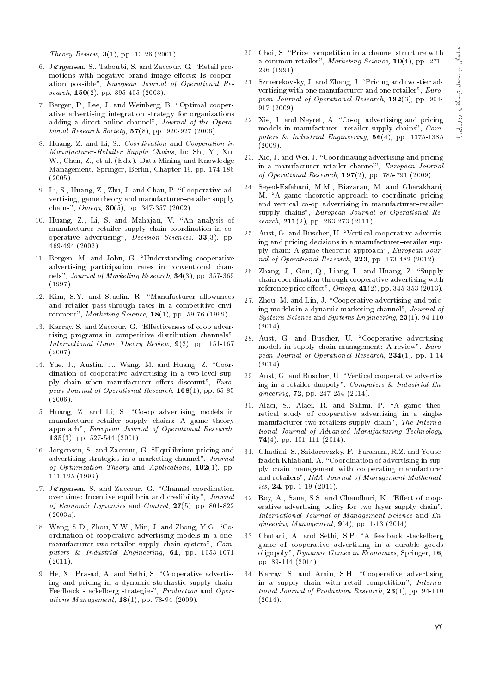Theory Review,  $3(1)$ , pp. 13-26 (2001).

- 6. Jørgensen, S., Taboubi, S. and Zaccour, G. "Retail promotions with negative brand image effects: Is cooperation possible", European Journal of Operational Research,  $150(2)$ , pp. 395-405 (2003).
- 7. Berger, P., Lee, J. and Weinberg, B. "Optimal cooperative advertising integration strategy for organizations adding a direct online channel", Journal of the Operational Research Society,  $57(8)$ , pp. 920-927 (2006).
- 8. Huang, Z. and Li, S., Coordination and Cooperation in Manufacturer-Retailer Supply Chains, In: Shi, Y., Xu, W., Chen, Z., et al. (Eds.), Data Mining and Knowledge Management. Springer, Berlin, Chapter 19, pp. 174-186 (2005).
- 9. Li, S., Huang, Z., Zhu, J. and Chau, P. "Cooperative advertising, game theory and manufacturer-retailer supply chains",  $Omega$ , 30(5), pp. 347-357 (2002).
- 10. Huang, Z., Li, S. and Mahajan, V. "An analysis of manufacturer-retailer supply chain coordination in cooperative advertising", Decision Sciences, 33(3), pp. 469-494 (2002).
- 11. Bergen, M. and John, G. \Understanding cooperative advertising participation rates in conventional channels", Journal of Marketing Research, 34(3), pp. 357-369 (1997).
- 12. Kim, S.Y. and Staelin, R. \Manufacturer allowances and retailer pass-through rates in a competitive environment", Marketing Science, 18(1), pp. 59-76 (1999).
- 13. Karray, S. and Zaccour, G. "Effectiveness of coop advertising programs in competitive distribution channels", International Game Theory Review, 9(2), pp. 151-167 (2007).
- 14. Yue, J., Austin, J., Wang, M. and Huang, Z. "Coordination of cooperative advertising in a two-level supply chain when manufacturer offers discount", European Journal of Operational Research, 168(1), pp. 65-85  $(2006)$ .
- 15. Huang, Z. and Li, S. \Co-op advertising models in manufacturer-retailer supply chains: A game theory approach", European Journal of Operational Research, 135(3), pp. 527-544 (2001).
- 16. Jorgensen, S. and Zaccour, G. \Equilibrium pricing and advertising strategies in a marketing channel", Journal of Optimization Theory and Applications,  $102(1)$ , pp. 111-125 (1999).
- 17. Jørgensen, S. and Zaccour, G. "Channel coordination over time: Incentive equilibria and credibility", Journal of Economic Dynamics and Control,  $27(5)$ , pp. 801-822 (2003a).
- 18. Wang, S.D., Zhou, Y.W., Min, J. and Zhong, Y.G. \Coordination of cooperative advertising models in a onemanufacturer two-retailer supply chain system", Computers & Industrial Engineering, 61, pp. 1053-1071  $(2011).$
- 19. He, X., Prasad, A. and Sethi, S. \Cooperative advertising and pricing in a dynamic stochastic supply chain: Feedback stackelberg strategies", Production and Operations Management,  $18(1)$ , pp. 78-94 (2009).
- 20. Choi, S. \Price competition in a channel structure with a common retailer", Marketing Science, 10(4), pp. 271- 296 (1991).
- 21. Szmerekovsky, J. and Zhang, J. \Pricing and two-tier advertising with one manufacturer and one retailer", European Journal of Operational Research, 192(3), pp. 904- 917 (2009).
- 22. Xie, J. and Neyret, A. "Co-op advertising and pricing models in manufacturer-retailer supply chains", Computers & Industrial Engineering, 56(4), pp. 1375-1385 (2009).
- 23. Xie, J. and Wei, J. "Coordinating advertising and pricing in a manufacturer-retailer channel", European Journal of Operational Research, 197(2), pp. 785-791 (2009).
- 24. Seyed-Esfahani, M.M., Biazaran, M. and Gharakhani, M. "A game theoretic approach to coordinate pricing and vertical co-op advertising in manufacturer-retailer supply chains", European Journal of Operational Research,  $211(2)$ , pp. 263-273 (2011).
- 25. Aust, G. and Buscher, U. \Vertical cooperative advertising and pricing decisions in a manufacturer-retailer supply chain: A game-theoretic approach", European Journal of Operational Research, 223, pp. 473-482 (2012).
- 26. Zhang, J., Gou, Q., Liang, L. and Huang, Z. "Supply chain coordination through cooperative advertising with reference price effect",  $Omega, 41(2),$  pp. 345-353 (2013).
- 27. Zhou, M. and Lin, J. "Cooperative advertising and pricing models in a dynamic marketing channel", Journal of Systems Science and Systems Engineering, 23(1), 94-110  $(2014).$
- 28. Aust, G. and Buscher, U. "Cooperative advertising models in supply chain management: A review", European Journal of Operational Research, 234(1), pp. 1-14 (2014).
- 29. Aust, G. and Buscher, U. \Vertical cooperative advertising in a retailer duopoly", Computers & Industrial Engineering, 72, pp. 247-254 (2014).
- 30. Alaei, S., Alaei, R. and Salimi, P. \A game theoretical study of cooperative advertising in a singlemanufacturer-two-retailers supply chain", The International Journal of Advanced Manufacturing Technology,  $74(4)$ , pp. 101-111 (2014).
- 31. Ghadimi, S., Szidarovszky, F., Farahani, R.Z. and Yousefzadeh Khiabani, A. "Coordination of advertising in supply chain management with cooperating manufacturer and retailers", IMA Journal of Management Mathemat*ics*, **24**, pp. 1-19 (2011).
- 32. Roy, A., Sana, S.S. and Chaudhuri, K. "Effect of cooperative advertising policy for two layer supply chain", International Journal of Management Science and Engineering Management,  $9(4)$ , pp. 1-13 (2014).
- 33. Chutani, A. and Sethi, S.P. "A feedback stackelberg game of cooperative advertising in a durable goods oligopoly", Dynamic Games in Economics, Springer, 16, pp. 89-114 (2014).
- 34. Karray, S. and Amin, S.H. "Cooperative advertising in a supply chain with retail competition", International Journal of Production Research, 23(1), pp. 94-110  $(2014)$ .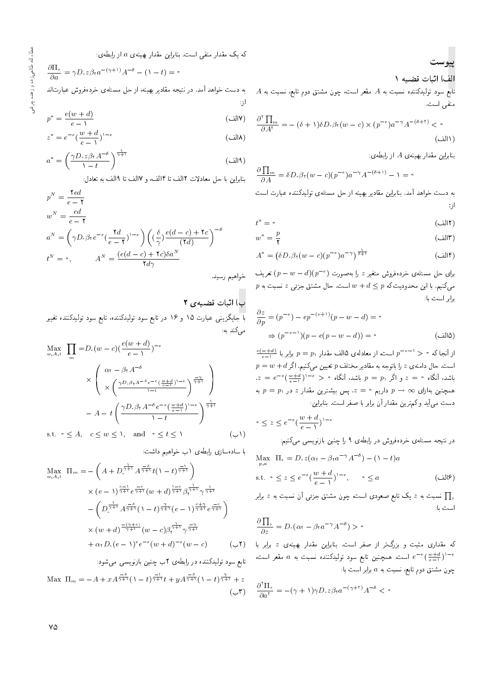که یک مقدار منفی است. بنابراین مقدار بهینهی a از رابطهی:

$$
\frac{\partial \Pi_r}{\partial a} = \gamma D \cdot z \beta_\tau a^{-(\gamma+1)} A^{-\delta} - (1-t) = \bullet
$$

به دست خواهد آمد. در نتیجه مقادیر بهینه، از حل مسئلهی خردهفروش عبارت|ند

از:  
\n
$$
p^* = \frac{e(w+d)}{e-1}
$$
\n(1)

$$
z^* = e^{-e} \left(\frac{w+d}{e-1}\right)^{1-e} \tag{1}
$$

$$
a^* = \left(\frac{\gamma D \cdot z \beta_{\text{T}} A^{-\delta}}{\lambda - t}\right)^{\frac{1}{\gamma + 1}}
$$
 (d)

بنابراين با حل معادلات ١٢لف تا ١۴لف، و ١٧لف تا ١٩لف به تعادل:

$$
p^{N} = \frac{\tau e d}{e - \tau}
$$
  
\n
$$
w^{N} = \frac{e d}{e - \tau}
$$
  
\n
$$
a^{N} = \left(\gamma D \cdot \beta \tau e^{-\epsilon} \left(\frac{\tau d}{e - \tau}\right)^{1 - \epsilon}\right) \left(\left(\frac{\delta}{\gamma}\right) \frac{e(d - c) + \tau c}{(\tau d)}\right)^{-\delta}
$$
  
\n
$$
t^{N} = \cdot, \qquad A^{N} = \frac{(e(d - c) + \tau c)\delta a^{N}}{\tau d\gamma}
$$

ب) اثبات قضیهی ۲

با جایگزینی عبارت ۱۵ و ۱۶ در تابع سود تولیدکننده، تابع سود تولیدکننده تغییر مے کند به:

$$
\begin{aligned}\n\max_{w, A, t} \quad & \prod_{m} = D_{\cdot}(w - c) \left( \frac{e(w + d)}{e - \lambda} \right)^{-\epsilon} \\
& \times \left( \begin{array}{c} \alpha_{1} - \beta_{1} A^{-\delta} \\
& \times \left( \frac{\gamma D \cdot \beta_{1} A^{-\delta} e^{-c} \left( \frac{w + d}{e - 1} \right)^{1 - e}}{1 - t} \right)^{\frac{-\gamma}{\gamma + 1}} \\
& -A - t \left( \frac{\gamma D \cdot \beta_{1} A^{-\delta} e^{-c} \left( \frac{w + d}{e - 1} \right)^{1 - e}}{1 - t} \right)^{\frac{1}{\gamma + 1}} \\
& \text{s.t.} \quad \circ \leq A, \quad c \leq w \leq \lambda, \quad \text{and} \quad \circ \leq t \leq \lambda\n\end{array} \right. \tag{4.1}
$$

با سادهسازی رابطهی ۱ ب خواهیم داشت:

$$
\begin{split} \max_{w,A,t} \ \Pi_m &= -\left(A + D^{\frac{1}{\gamma+1}} A^{\frac{-\delta}{\gamma+1}} t(1-t)^{\frac{-1}{\gamma+1}}\right) \\ &\times (e - 1)^{\frac{e-1}{\gamma+1}} e^{\frac{-e}{\gamma+1}} (w+d)^{\frac{1-e}{\gamma+1}} \beta^{\frac{1}{\gamma+1}}_{\gamma+\gamma} \gamma^{\frac{1}{\gamma+1}} \\ &- \left(D^{\frac{1}{\gamma+1}} A^{\frac{-\delta}{\gamma+1}} (1-t)^{\frac{\gamma}{\gamma+1}} (e - 1)^{\frac{e+\gamma}{\gamma+1}} e^{\frac{-e}{\gamma+1}}\right) \\ &\times (w+d)^{\frac{-(\gamma+e)}{\gamma+1}} (w-c) \beta^{\frac{1}{\gamma+1}}_{\gamma+\gamma} \gamma^{\frac{-\gamma}{\gamma+1}} \\ &+ \alpha_1 D_2 (e - 1)^e e^{-e} (w+d)^{-e} (w-c) \end{split}
$$

تابع سود تولیدکننده در رابطهی ۲ ب چنین بازنویسی می شود:

Max  $\prod_m = -A + xA^{\frac{-\delta}{\gamma+1}}(1-t)^{\frac{-1}{\gamma+1}}t + yA^{\frac{-\delta}{\gamma+1}}(1-t)^{\frac{\gamma}{\gamma+1}}+z$  $(-r)$ 

**پیوست**  
الف) اثبات قضیه ۱  
تابع سود تولیدکننده نسبت به ۲ مقعر است، چون مشتق دوره تابع سود تولیدکننده نسبت به ۶  
منفی است.  

$$
\frac{\partial^r \prod_m}{\partial A^r} = -(\delta + \iota)\delta D_\cdot \beta_r (w - c) \times (p^{-e}) a^{-\gamma} A^{-(\delta + \tau)} < \circ
$$

$$
(\cap
$$

(١۶لف)

 $\sim$ 

بنابراین مقدار بهینهی A از رابطهی:

$$
\frac{\partial \prod_{m}}{\partial A} = \delta D \cdot \beta_{\mathfrak{r}} (w - c) (p^{-\epsilon}) a^{-\gamma} A^{-(\delta + 1)} - 1 = \mathfrak{r}
$$

به دست خواهد آمد. بنابراین مقادیر بهینه از حل مسئلهی تولیدکننده عبارت است  $\cdot$ , |

$$
t^* = \cdot \tag{17}
$$

$$
w^* = \frac{p}{\mathbf{r}} \tag{|\mathbf{r}|}
$$

$$
A^* = \left(\delta D \cdot \beta_{\mathfrak{r}}(w-c)(p^{-e})a^{-\gamma}\right)^{\frac{1}{\delta+1}} \tag{1} \mathfrak{r}
$$

 $\epsilon_{\rm lab}$  برای حل مسئله $\epsilon_{\rm obs}$  خردهفروش متغیر  $z$  را بهصورت  $(p-w-d)(p^{-e})$  تعریف  $p$  میکنیم. با این محدودیت که  $d \leq p + w$  است. حال مشتق جزئی  $z$  نسبت به برابر است با:

$$
\frac{\partial z}{\partial p} = (p^{-e}) - ep^{-(e+1)}(p - w - d) = \circ
$$
  
\n
$$
\Rightarrow (p^{-e-1})(p - e(p - w - d)) = \circ
$$
 (d)

 $\frac{e(w+d)}{e-x}$ از آنجا که  $p^{\alpha} > p = p$  است، از معادلهی ۱۵لف مقدار  $p = p_1$  برابر با  $p=w+d$ است. حال دامنهی  $z$  را باتوجه به مقادیر مختلف  $p$  تعیین میکنیم. اگر  $z = e^{-e}(\frac{w+d}{e-1})^{1-e} > \circ$  باشد، آنگاه  $p = p_1$  باشد، آنگاه ه به  $p = p_1$  همچنین به ازای  $p \to p \to p$  داریم  $z = z$ . پس بیشترین مقدار  $z$  در دست می آید و کم ترین مقدار آن برابر با صفر است. بنابراین:

$$
\circ \le z \le e^{-\epsilon} \left(\frac{w+d}{e-1}\right)^{1-\epsilon}
$$

در نتیجه مسئلهی خردهفروش در رابطهی ۹ را چنین بازنویسی میکنیم:

Max  $\Pi_r = D_z z (\alpha_t - \beta_t a^{-\gamma} A^{-\delta}) - (1 - t) a$ s.t.  $\circ \leq z \leq e^{-e}(\frac{w+d}{e-1})^{1-e}$ ,  $\circ \leq a$ 

نسبت به  $z$  یک تابع صعودی است، چون مشتق جزئی آن نسبت به  $z$  برابر  $\prod_{r}$ است با:

$$
\frac{\partial \prod_r}{\partial z} = D \cdot (\alpha_\tau - \beta_\tau a^{-\gamma} A^{-\delta}) > \circ
$$

که مقداری مثبت و بزرگπر از صفر است. بنابراین مقدار بهینهی z برابر با (′ است. همچنین تابع سود تولیدکننده نسبت به a مقعر است،  $e^{-e}(\frac{w+d}{e-1})^{1-e}$ چون مشتق دوم تابع، نسبت به  $a$  برابر است با:

$$
\frac{\partial^{\mathfrak{r}} \Pi_{r}}{\partial a^{\mathfrak{r}}} = -(\gamma + 1)\gamma D \cdot z \beta_{\mathfrak{r}} a^{-(\gamma + \mathfrak{r})} A^{-\delta} < \mathfrak{r}
$$

٧۵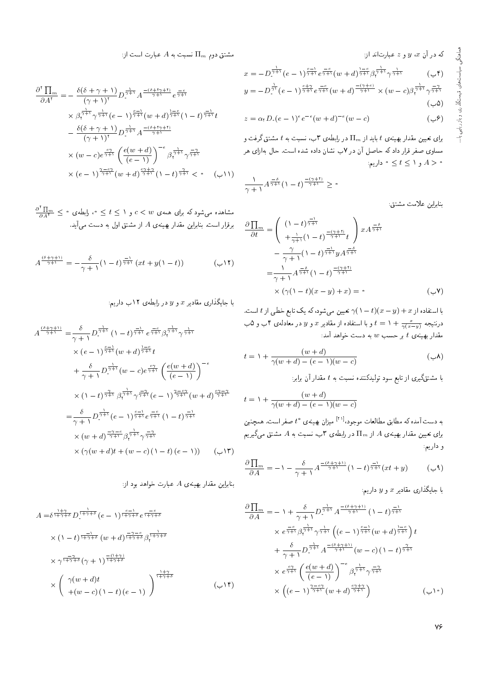$x \in X$ که در آن  $x \in y$  و  $z \in y$ ستاند از:

$$
x = -D_{\tau}^{\frac{1}{\gamma+1}}(e - \tau)^{\frac{e-1}{\gamma+1}}e^{-\frac{-e}{\gamma+1}}(w + d)^{\frac{1-e}{\gamma+1}}\beta_{\tau}^{\frac{1}{\gamma+1}}\gamma^{\frac{1}{\gamma+1}}\n\quad (c + \tau)^{\eta+1}
$$
\n
$$
y = -D_{\tau}^{\frac{1}{\gamma}}(e - \tau)^{\frac{e+\gamma}{\gamma+1}}e^{\frac{-e}{\gamma+1}}(w + d)^{\frac{-(\gamma+e)}{\gamma+1}} \times (w - c)\beta_{\tau}^{\frac{1}{\gamma+1}}\gamma^{\frac{-\gamma}{\gamma+1}}\n\quad (c - \delta)
$$

$$
z = \alpha_1 D \cdot (e - 1)^e e^{-e} (w + d)^{-e} (w - c) \tag{9}
$$

 $t$  برای تعیین مقدار بهپینهی  $t$  باید از  $\Pi_m$  در رابطهی ۳ب، نسبت به  $t$  مشتق گرفت و مساوی صفر قرار داد که حاصل آن در ۷ب نشان داده شده است. حال بهازای هر  $s\in A\leq t\leq t\leq A>0$  و  $A>0$  داریم

$$
\frac{1}{\gamma+1}A^{\frac{-\delta}{\gamma+1}}(1-t)^{\frac{-(\gamma+1)}{\gamma+1}} \geq \circ
$$

بنابراين علامت مشتق:

$$
\frac{\partial \prod_{m}}{\partial t} = \left( \begin{array}{c} (1-t)^{\frac{-1}{\gamma+1}} \\ + \frac{1}{\gamma+1} (1-t)^{\frac{-(\gamma+1)}{\gamma+1}} t \end{array} \right) x A^{\frac{-\delta}{\gamma+1}} \\ - \frac{\gamma}{\gamma+1} (1-t)^{\frac{-1}{\gamma+1}} y A^{\frac{-\delta}{\gamma+1}} \\ = \frac{1}{\gamma+1} A^{\frac{-\delta}{\gamma+1}} (1-t)^{\frac{-(\gamma+1)}{\gamma+1}} \\ \times (\gamma(1-t)(x-y) + x) = \circ \qquad (\subset \mathbf{V})
$$

با استفاده از  $x + (x - t)(x - t)$  تعیین می شود، که یک تابع خطی از t است. درنتیجه  $t = 1 + \frac{x}{\gamma(x-y)}$  و با استفاده از مقادیر  $x$  و  $y$  در معادلهی ۴ ب و ۵ب $t = 1$ مقدار بهینهی  $t$  بر حسب  $w$  به دست خواهد آمد:

$$
t = \lambda + \frac{(w+d)}{\gamma(w+d) - (e-\lambda)(w-c)} \tag{4.1}
$$

با مشتقگیری از تابع سود تولیدکننده نسبت به t مقدار آن برابر:<br>.

$$
t = \lambda + \frac{(w+d)}{\gamma(w+d) - (e-\lambda)(w-c)}
$$

۲۱] میزان بهینهی \*t صفر است. همچنین<br>اما می س به دست آمده که مطابق مطالعات موجود،<br>ا بوای تعیین مقدار بهبینه ی A از  $\Pi_m$  در رابطه $\mathcal{P}$  در ابطه که است به  $A$  مشتق میگیریم و داريم:

$$
\frac{\partial \prod_{m}}{\partial A} = -1 - \frac{\delta}{\gamma + 1} A^{\frac{-(\delta + \gamma + 1)}{\gamma + 1}} (1 - t)^{\frac{-1}{\gamma + 1}} (xt + y) \tag{9}
$$

با جایگذاری مقادیر  $x$  و  $y$  داریم:

$$
\frac{\partial \prod_{m}}{\partial A} = -\gamma + \frac{\delta}{\gamma + \gamma} D_{\gamma + \gamma}^{\frac{1}{\gamma + \gamma}} A^{\frac{-(\delta + \gamma + \gamma)}{\gamma + \gamma}} (\gamma - t)^{\frac{-\gamma}{\gamma + \gamma}} \times e^{\frac{-c}{\gamma + \gamma}} \beta_{\gamma + \gamma}^{\frac{1}{\gamma + \gamma}} \gamma^{\frac{1}{\gamma + \gamma}} \left( (e - \gamma)^{\frac{c - \gamma}{\gamma + \gamma}} (w + d)^{\frac{\gamma - c}{\gamma + \gamma}} \right) t \n+ \frac{\delta}{\gamma + \gamma} D_{\gamma + \gamma}^{\frac{1}{\gamma + \gamma}} A^{\frac{-(\delta + \gamma + \gamma)}{\gamma + \gamma}} (w - c) (\gamma - t)^{\frac{\gamma}{\gamma + \gamma}} \times e^{\frac{c \gamma}{\gamma + \gamma}} \left( \frac{e(w + d)}{(e - \gamma)} \right)^{-e} \beta_{\gamma + \gamma}^{\frac{1}{\gamma + \gamma}} \gamma^{\frac{-\gamma}{\gamma + \gamma}} \times \left( (e - \gamma)^{\frac{\gamma - c \gamma}{\gamma + \gamma}} (w + d)^{\frac{c \gamma + \gamma}{\gamma + \gamma}} \right) \qquad (\gamma \circ)
$$

سشتق دوم  $\Pi_m$  نسبت به  $A$  عبارت است از:

$$
\frac{\partial^{\tau} \prod_{m}}{\partial A^{\tau}} = -\frac{\delta(\delta + \gamma + 1)}{(\gamma + 1)^{\tau}} D_{\tau}^{\frac{1}{\gamma + 1}} A^{\frac{-(\delta + \tau \gamma + 1)}{\gamma + 1}} e^{\frac{-\epsilon}{\gamma + 1}}
$$
\n
$$
\times \beta_{\tau}^{\frac{1}{\gamma + 1}} \gamma^{\frac{1}{\gamma + 1}} (e - 1)^{\frac{\epsilon - 1}{\gamma + 1}} (w + d)^{\frac{1 - \epsilon}{\gamma + 1}} (1 - t)^{\frac{-1}{\gamma + 1}} t
$$
\n
$$
- \frac{\delta(\delta + \gamma + 1)}{(\gamma + 1)^{\tau}} D_{\tau}^{\frac{1}{\gamma + 1}} A^{\frac{-(\delta + \tau \gamma + 1)}{\gamma + 1}}
$$
\n
$$
\times (w - c) e^{\frac{\epsilon \gamma}{\gamma + 1}} \left( \frac{e(w + d)}{(e - 1)} \right)^{-\epsilon} \beta_{\tau}^{\frac{1}{\gamma + 1}} \gamma^{\frac{-\gamma}{\gamma + 1}}
$$
\n
$$
\times (e - 1)^{\frac{\gamma - \epsilon \gamma}{\gamma + 1}} (w + d)^{\frac{\epsilon \gamma + \gamma}{\gamma + 1}} (1 - t)^{\frac{\gamma}{\gamma + 1}} < \infty \quad (\hookrightarrow 1)
$$

 $\frac{\partial^{v}\prod_{m}}{\partial A^{v}}\leq \ ^{\circ}$  مشاهده میشود که برای همه ی $c < w$  و ۱ $t \leq t \leq t$  میلیو برقرار است. بنابراین مقدار بهینهی A از مشتق اول به دست می آید.

$$
A^{\frac{(\delta+\gamma+1)}{\gamma+1}} = -\frac{\delta}{\gamma+1} \left(1-t\right)^{\frac{-1}{\gamma+1}} \left(xt+y(1-t)\right) \tag{17}
$$

با جایگذاری مقادیر  $x$  و  $y$  در رابطهی ۱۲ب داریم:

$$
A^{\frac{(\delta+\gamma+1)}{\gamma+1}} = \frac{\delta}{\gamma+1} D^{\frac{1}{\gamma+1}} (1-t)^{\frac{-1}{\gamma+1}} e^{\frac{-e}{\gamma+1}} \beta^{\frac{1}{\gamma+1}} \gamma^{\frac{1}{\gamma+1}}
$$
  
\n
$$
\times (e-1)^{\frac{e-1}{\gamma+1}} (w+d)^{\frac{1-e}{\gamma+1}} t
$$
  
\n
$$
+ \frac{\delta}{\gamma+1} D^{\frac{1}{\gamma+1}} (w-c) e^{\frac{e\gamma}{\gamma+1}} \left( \frac{e(w+d)}{(e-1)} \right)^{-e}
$$
  
\n
$$
\times (1-t)^{\frac{\gamma}{\gamma+1}} \beta^{\frac{1}{\gamma+1}} \gamma^{\frac{-\gamma}{\gamma+1}} (e-1)^{\frac{\gamma-e\gamma}{\gamma+1}} (w+d)^{\frac{e\gamma-\gamma}{\gamma+1}}
$$
  
\n
$$
= \frac{\delta}{\gamma+1} D^{\frac{1}{\gamma+1}} (e-1)^{\frac{e-1}{\gamma+1}} e^{\frac{-e}{\gamma+1}} (1-t)^{\frac{-1}{\gamma+1}}
$$
  
\n
$$
\times (w+d)^{\frac{-\gamma-e}{\gamma+1}} \beta^{\frac{1}{\gamma+1}} \gamma^{\frac{-\gamma}{\gamma+1}}
$$
  
\n
$$
\times (\gamma(w+d)t + (w-c) (1-t) (e-1))
$$

بنابراین مقدار بهینهی A عبارت خواهد بود از:

$$
A = \delta^{\frac{1+\gamma}{1+\gamma+\delta}} D^{\frac{1}{1+\gamma+\delta}} (e - 1)^{\frac{e-1}{1+\gamma+\delta}} e^{\frac{-e}{1+\gamma+\delta}}
$$
  
\n
$$
\times (1-t)^{\frac{-1}{1+\gamma+\delta}} (w+d)^{\frac{-\gamma-e}{1+\gamma+\delta}} \beta^{\frac{1}{1+\gamma+\delta}}
$$
  
\n
$$
\times \gamma^{\frac{-\gamma}{1+\gamma+\delta}} (\gamma+1)^{\frac{-(1+\gamma)}{1+\gamma+\delta}}
$$
  
\n
$$
\times \left( \gamma(w+d)t + (w-c)(1-t)(e-1) \right)^{\frac{1+\gamma}{1+\gamma+\delta}}
$$
 (c-1)

76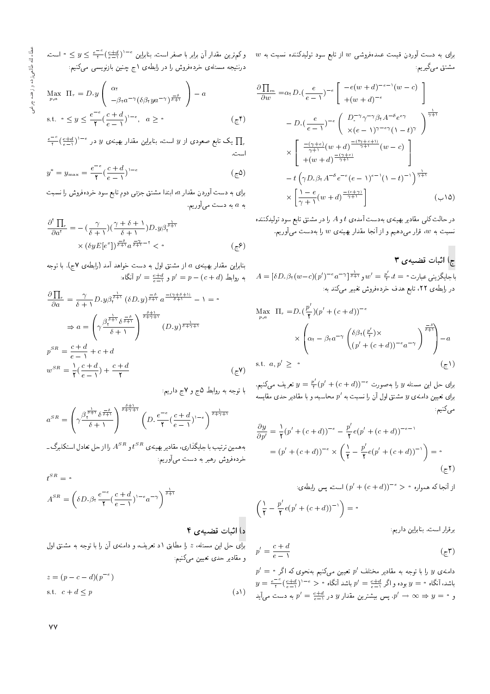$w$  برای به دست آوردن قیمت عمدهفروشی  $w$  از تابع سود تولیدکننده نسبت به مشتق مىگيرىم:

$$
\frac{\partial \prod_{m}}{\partial w} = \alpha_{\tau} D_{\cdot} \left( \frac{e}{e - \tau} \right)^{-e} \left[ \frac{-e(w + d)^{-e - \tau}(w - c)}{+(w + d)^{-e}} \right]
$$

$$
- D_{\cdot} \left( \frac{e}{e - \tau} \right)^{-e} \left( \frac{D_{\cdot}^{-\tau} \gamma^{-\tau} \beta_{\tau} A^{-\delta} e^{e \gamma}}{\times (e - \tau) \gamma^{-e \gamma} (1 - t)^{\gamma}} \right)^{\frac{1}{\gamma + 1}}
$$

$$
\times \left[ \frac{\frac{-(\gamma + e)}{\gamma + \tau}(w + d)^{\frac{-(\gamma + e + \tau)}{\gamma + \tau}}}{+(w + d)^{\frac{-(\gamma + e)}{\gamma + \tau}}}(w - c) \right]
$$

$$
- t \left( \gamma D_{\cdot} \beta_{\tau} A^{-\delta} e^{-e} (e - \tau)^{e - \tau} (1 - t)^{-\tau} \right)^{\frac{1}{\gamma + \tau}}
$$

$$
\times \left[ \frac{1 - e}{\gamma + \tau}(w + d)^{\frac{-(e + \gamma)}{\gamma + \tau}} \right] \qquad (\sim 1\Delta)
$$

در حالت کلبی مقادیر بهینهی بهدست آمده $t$  و A را در مشتق تابع سود تولیدکننده نسبت به  $w$ ، قرار میدهیم و از آنجا مقدار بهینهی  $w$  را بهدست میآوریم.

#### ج) آثبات قضيهي ٣

 $A=[\delta D\cdot\beta_{1}(w-c)(p^{\prime})^{-e}a^{-\gamma}] \frac{1}{\delta+\gamma}$ باجايگزينى عبارت $t=\frac{p^{\prime}}{r}$  ,  $t=0$ در رابطهى ٢٢، تابع هدف خردهفروش تغيير مىكند به:

$$
\begin{aligned}\n\text{Max} \quad & \Pi_r = D \cdot \left( \frac{p'}{\gamma} \right) (p' + (c + d))^{-\epsilon} \\
& \times \left( \alpha_r - \beta_r a^{-\gamma} \left( \frac{\delta \beta_r \left( \frac{p'}{\gamma} \right) \times}{\left( p' + (c + d) \right)^{-\epsilon} a^{-\gamma}} \right)^{\frac{-\delta}{\delta + 1}} \right) - a \\
\text{s.t. } & a, p' \geq \epsilon \qquad (\epsilon) \n\end{aligned}
$$

برای حل این مسئله y را بهصورت $e^{i} + (c + d)^{-e} = \frac{p'}{r}$  تعریف میکنیم. برای تعیین دامنهی  $y$  مشتق اول آن را نسبت به  $p^{\prime}$  محاسبه، و با مقادیر حدی مقایسه مى كنيم:

$$
\frac{\partial y}{\partial p'} = \frac{1}{\mathsf{T}} (p' + (c + d))^{-\epsilon} - \frac{p'}{\mathsf{T}} e(p' + (c + d))^{-\epsilon - 1}
$$

$$
= (p' + (c + d))^{-\epsilon} \times \left( \frac{1}{\mathsf{T}} - \frac{p'}{\mathsf{T}} e(p' + (c + d))^{-1} \right) = \mathsf{S}
$$

$$
(\zeta^{\mathsf{T}})
$$

از آنجا که همواره ° $(e+d)^{-e} > (p'+(c+d))$  است، پس رابطهی:

$$
\left(\frac{1}{\mathsf{Y}}-\frac{p'}{\mathsf{Y}}e(p'+(c+d))^{-1}\right)=
$$

برقرار است. بنابراین داریم:

$$
p' = \frac{c+d}{e-1} \tag{c-1}
$$

 $p' = \circ$  دامنهی  $y$  را با توجه به مقادیر مختلف  $p'$  تعیین میکنیم بهنحوی که اگر  $y = \frac{e^{-e}}{r}(\frac{c+d}{e-1})^{1-e} > \frac{1}{r}$ باشد آنگاه  $p' = \frac{c+d}{e-1}$  باشد آنگاه ا و ° =  $y \Rightarrow p' = \frac{c+d}{e-1}$ . پس بیشترین مقدار y در  $y' = \frac{c+d}{e-1}$  به دست می $p'$ ید

وكم ترين مقدار أن برابر با صفر است. بنابراين  $(\frac{c+d}{e-1})^{1-e} \leq y \leq e^{-e}$  است. درنتیجه مسئله، خردهفروش را در رابطه، ۱ج چنین بازنویسی میکنیم:

$$
\begin{aligned}\n\max_{p,a} & \Pi_r = D, y \left( \begin{array}{c} \alpha_r \\ -\beta_r a^{-\gamma} (\delta \beta_r y a^{-\gamma})^{\frac{-\delta}{\delta+1}} \end{array} \right) - a \\
\text{s.t.} & \circ \leq y \leq \frac{e^{-\epsilon}}{\mathsf{Y}} (\frac{c+d}{e-\mathsf{Y}})^{1-\epsilon}, \quad a \geq \mathsf{0}\n\end{aligned} \tag{5} \tag{5} \end{aligned}
$$

 $\frac{e^{-e}}{t}( \frac{e+d}{e-1} )^{1-e}$ یک تابع صعودی از  $y$  است، بنابراین مقدار بهینهی  $y$  در  $\prod_{r}$ است.

$$
y^* = y_{\text{max}} = \frac{e^{-e}}{\mathbf{Y}} \left(\frac{c+d}{e-1}\right)^{1-e} \tag{5.2}
$$

برای به دست آوردن مقدار a، ابتدا مشتق جزئی دوم تابع سود خردهفروش را نسبت به a به دست میآوریم.

$$
\frac{\partial^{\mathbf{Y}} \prod_{r}}{\partial a^{\mathbf{Y}}} = -\left(\frac{\gamma}{\delta + 1}\right) \left(\frac{\gamma + \delta + 1}{\delta + 1}\right) D_{\mathbf{Y}} y \beta_{\mathbf{Y}}^{\frac{1}{\delta + 1}} \times \left(\delta y E\left[e^{x}\right]\right)^{\frac{-\delta}{\delta + 1}} a^{\frac{-\gamma}{\delta + 1} - \mathbf{Y}} < \mathbf{Q}
$$
\n
$$
\left(\mathbf{Q}^{\mathbf{Y}}\right)^{\frac{-\delta}{\delta + 1}} \mathbf{Q}_{\mathbf{Y}}^{\frac{-\delta}{\delta + 1}} \mathbf{Q}_{\mathbf{Y}}^{\frac{-\delta}{\delta + 1}} \mathbf{Q}_{\mathbf{Y}}^{\frac{-\delta}{\delta + 1}} \mathbf{Q}_{\mathbf{Y}}^{\frac{-\delta}{\delta + 1}} \mathbf{Q}_{\mathbf{Y}}^{\frac{-\delta}{\delta + 1}} \mathbf{Q}_{\mathbf{Y}}^{\frac{-\delta}{\delta + 1}} \mathbf{Q}_{\mathbf{Y}}^{\frac{-\delta}{\delta + 1}} \mathbf{Q}_{\mathbf{Y}}^{\frac{-\delta}{\delta + 1}} \mathbf{Q}_{\mathbf{Y}}^{\frac{-\delta}{\delta + 1}} \mathbf{Q}_{\mathbf{Y}}^{\frac{-\delta}{\delta + 1}} \mathbf{Q}_{\mathbf{Y}}^{\frac{-\delta}{\delta + 1}} \mathbf{Q}_{\mathbf{Y}}^{\frac{-\delta}{\delta + 1}} \mathbf{Q}_{\mathbf{Y}}^{\frac{-\delta}{\delta + 1}} \mathbf{Q}_{\mathbf{Y}}^{\frac{-\delta}{\delta + 1}} \mathbf{Q}_{\mathbf{Y}}^{\frac{-\delta}{\delta + 1}} \mathbf{Q}_{\mathbf{Y}}^{\frac{-\delta}{\delta + 1}} \mathbf{Q}_{\mathbf{Y}}^{\frac{-\delta}{\delta + 1}} \mathbf{Q}_{\mathbf{Y}}^{\frac{-\delta}{\delta + 1}} \mathbf{Q}_{\mathbf{Y}}^{\frac{-\delta}{\delta + 1}} \mathbf{Q}_{\mathbf{Y}}^{\frac{-\delta}{\delta + 1}} \mathbf{Q}_{\mathbf{Y}}^{\frac{-\delta}{\delta + 1}} \mathbf{Q}_{\mathbf{Y}}^{\frac{-\delta}{\delta + 1}} \mathbf{Q}_{\mathbf{Y}}^{\frac{-\delta
$$

بنابراین مقدار بهینهی a از مشتق اول به دست خواهد آمد (رابطهی ۲ج). با توجه : به روابط  $p' = p - (c + d)$  و  $p' = \frac{c + d}{c - 2}$  أنگاه

$$
\frac{\partial \prod_{r}}{\partial a} = \frac{\gamma}{\delta + 1} D_{\nu} y \beta_{\nu}^{\frac{1}{\delta + 1}} (\delta D_{\nu} y)^{\frac{-\delta}{\delta + 1}} a^{\frac{-(\gamma + \delta + 1)}{\delta + 1}} - 1 = \circ
$$
  

$$
\Rightarrow a = \left( \gamma \frac{\beta_{\nu}^{\frac{1}{\delta + 1}} \delta^{\frac{-\delta}{\delta + 1}}}{\delta + 1} \right)^{\frac{\delta + 1}{\delta + 1}} (D_{\nu} y)^{\frac{-\delta}{\delta + 1}} + 1
$$
  

$$
p^{SR} = \frac{c + d}{e - 1} + c + d
$$
  

$$
w^{SR} = \frac{1}{\gamma} (\frac{c + d}{e - 1}) + \frac{c + d}{\gamma}
$$
 (cV)

با توجه به روابط ۵ج و ۷ج داریم:

$$
a^{SR} = \left(\gamma \frac{\beta_{\tau}^{\frac{1}{\delta+1}} \delta^{\frac{-\delta}{\delta+1}}}{\delta+1}\right)^{\frac{\delta+1}{\delta+\gamma+1}} \left(D, \frac{e^{-\epsilon}}{\gamma} \left(\frac{c+d}{e-1}\right)^{1-\epsilon}\right)^{\frac{1}{\delta+\gamma+1}}
$$

به همین ترتیب با جایگذاری، مقادیر بهینه ی  $t^{SR}$  و  $A^{SR}$  را از حل تعادل استکلبرگ ــ خردهفروش رهبر به دست می آوریم:

$$
t^{SR} = \circ
$$
\n
$$
A^{SR} = \left(\delta D \cdot \beta_{\mathfrak{r}} \frac{e^{-e}}{\mathfrak{r}} \left(\frac{c+d}{e-1}\right)^{\mathfrak{r}-e} a^{-\gamma}\right)^{\frac{1}{\delta+1}}
$$
\n
$$
\mathfrak{r} = \left(\delta D \cdot \beta_{\mathfrak{r}} \frac{e^{-e}}{\mathfrak{r}} \left(\frac{c+d}{e-1}\right)^{\mathfrak{r}-e} a^{-\gamma}\right)^{\frac{1}{\delta+1}}
$$
\n
$$
\mathfrak{r} = \mathfrak{r} \text{ and } \mathfrak{r} \text{ and } \mathfrak{r} \text{ and } \mathfrak{r} \text{ are the same as } \mathfrak{r} \text{ and } \mathfrak{r} \text{ and } \mathfrak{r} \text{ are the same as } \mathfrak{r} \text{ and } \mathfrak{r} \text{ and } \mathfrak{r} \text{ are the same as } \mathfrak{r} \text{ and } \mathfrak{r} \text{ and } \mathfrak{r} \text{ are the same as } \mathfrak{r} \text{ and } \mathfrak{r} \text{ and } \mathfrak{r} \text{ are the same as } \mathfrak{r} \text{ and } \mathfrak{r} \text{ and } \mathfrak{r} \text{ are the same as } \mathfrak{r} \text{ and } \mathfrak{r} \text{ and } \mathfrak{r} \text{ are the same as } \mathfrak{r} \text{ and } \mathfrak{r} \text{ and } \mathfrak{r} \text{ are the same as } \mathfrak{r} \text{ and } \mathfrak{r} \text{ and } \mathfrak{r} \text{ are the same as } \mathfrak{r} \text{ and } \mathfrak{r} \text{ and } \mathfrak{r} \text{ are the same as } \mathfrak{r} \text{ and } \mathfrak{r} \text{ and } \mathfrak{r} \text{ are the same as } \mathfrak{r} \text{ and } \mathfrak{r} \text{ and } \mathfrak{r} \text{ are the same as } \mathfrak{r} \text{ and } \mathfrak{r} \text{ and } \mathfrak{r} \text{ are the same as } \mathfrak{r} \text{ and } \mathfrak{r} \text{ and } \mathfrak{r} \text{ are the same as } \mathfrak
$$

و مقادیر حدی تعیین میکنیم:

$$
z = (p - c - d)(p^{-e})
$$
  
s.t.  $c + d \le p$  (s)